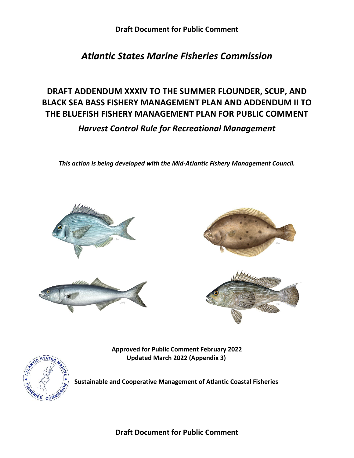# *Atlantic States Marine Fisheries Commission*

# **DRAFT ADDENDUM XXXIV TO THE SUMMER FLOUNDER, SCUP, AND BLACK SEA BASS FISHERY MANAGEMENT PLAN AND ADDENDUM II TO THE BLUEFISH FISHERY MANAGEMENT PLAN FOR PUBLIC COMMENT**

*Harvest Control Rule for Recreational Management*

*This action is being developed with the Mid-Atlantic Fishery Management Council.*







**Approved for Public Comment February 2022 Updated March 2022 (Appendix 3)**



**Sustainable and Cooperative Management of Atlantic Coastal Fisheries**

**Draft Document for Public Comment**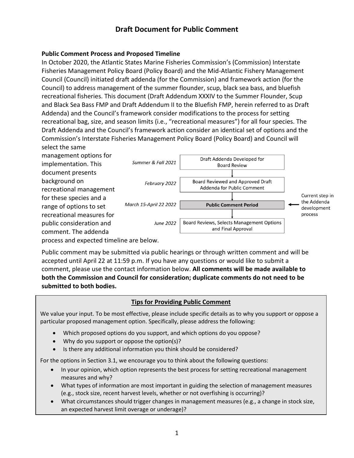#### **Public Comment Process and Proposed Timeline**

In October 2020, the Atlantic States Marine Fisheries Commission's (Commission) Interstate Fisheries Management Policy Board (Policy Board) and the Mid-Atlantic Fishery Management Council (Council) initiated draft addenda (for the Commission) and framework action (for the Council) to address management of the summer flounder, scup, black sea bass, and bluefish recreational fisheries. This document (Draft Addendum XXXIV to the Summer Flounder, Scup and Black Sea Bass FMP and Draft Addendum II to the Bluefish FMP, herein referred to as Draft Addenda) and the Council's framework consider modifications to the process for setting recreational bag, size, and season limits (i.e., "recreational measures") for all four species. The Draft Addenda and the Council's framework action consider an identical set of options and the Commission's Interstate Fisheries Management Policy Board (Policy Board) and Council will select the same

management options for implementation. This document presents background on recreational management for these species and a range of options to set recreational measures for public consideration and comment. The addenda



process and expected timeline are below.

Public comment may be submitted via public hearings or through written comment and will be accepted until April 22 at 11:59 p.m. If you have any questions or would like to submit a comment, please use the contact information below. **All comments will be made available to both the Commission and Council for consideration; duplicate comments do not need to be submitted to both bodies.**

### **Tips for Providing Public Comment**

We value your input. To be most effective, please include specific details as to why you support or oppose a particular proposed management option. Specifically, please address the following:

- Which proposed options do you support, and which options do you oppose?
- Why do you support or oppose the option(s)?
- Is there any additional information you think should be considered?

For the options in Section 3.1, we encourage you to think about the following questions:

- In your opinion, which option represents the best process for setting recreational management measures and why?
- What types of information are most important in guiding the selection of management measures (e.g., stock size, recent harvest levels, whether or not overfishing is occurring)?
- What circumstances should trigger changes in management measures (e.g., a change in stock size, an expected harvest limit overage or underage)?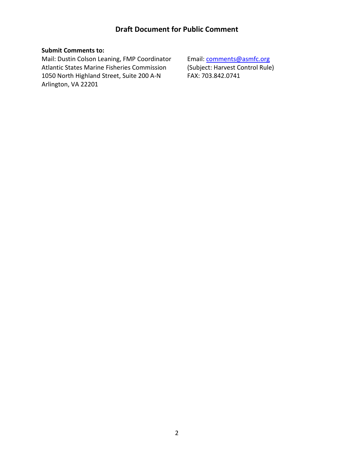#### **Submit Comments to:**

Mail: Dustin Colson Leaning, FMP Coordinator Email: comments@asmfc.org Atlantic States Marine Fisheries Commission (Subject: Harvest Control Rule) 1050 North Highland Street, Suite 200 A-N FAX: 703.842.0741 Arlington, VA 22201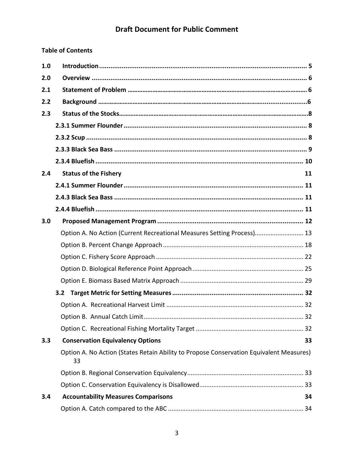### **Table of Contents**

| 1.0 |                                                                                               |    |
|-----|-----------------------------------------------------------------------------------------------|----|
| 2.0 |                                                                                               |    |
| 2.1 |                                                                                               |    |
| 2.2 |                                                                                               |    |
| 2.3 |                                                                                               |    |
|     |                                                                                               |    |
|     |                                                                                               |    |
|     |                                                                                               |    |
|     |                                                                                               |    |
| 2.4 | <b>Status of the Fishery</b>                                                                  | 11 |
|     |                                                                                               |    |
|     |                                                                                               |    |
|     |                                                                                               |    |
| 3.0 |                                                                                               |    |
|     | Option A. No Action (Current Recreational Measures Setting Process) 13                        |    |
|     |                                                                                               |    |
|     |                                                                                               |    |
|     |                                                                                               |    |
|     |                                                                                               |    |
|     | 3.2                                                                                           |    |
|     |                                                                                               |    |
|     |                                                                                               |    |
|     |                                                                                               |    |
| 3.3 | <b>Conservation Equivalency Options</b>                                                       | 33 |
|     | Option A. No Action (States Retain Ability to Propose Conservation Equivalent Measures)<br>33 |    |
|     |                                                                                               |    |
|     |                                                                                               |    |
| 3.4 | <b>Accountability Measures Comparisons</b>                                                    | 34 |
|     |                                                                                               |    |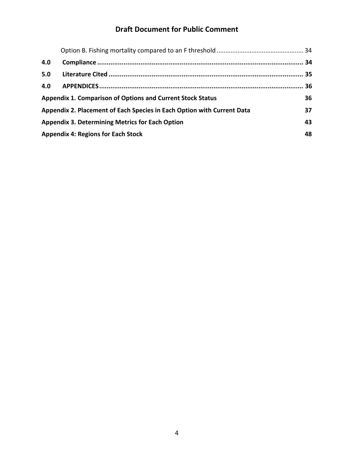| 4.0 |                                                                        |    |
|-----|------------------------------------------------------------------------|----|
| 5.0 |                                                                        |    |
| 4.0 |                                                                        |    |
|     | <b>Appendix 1. Comparison of Options and Current Stock Status</b>      | 36 |
|     | Appendix 2. Placement of Each Species in Each Option with Current Data | 37 |
|     | <b>Appendix 3. Determining Metrics for Each Option</b>                 | 43 |
|     | <b>Appendix 4: Regions for Each Stock</b>                              | 48 |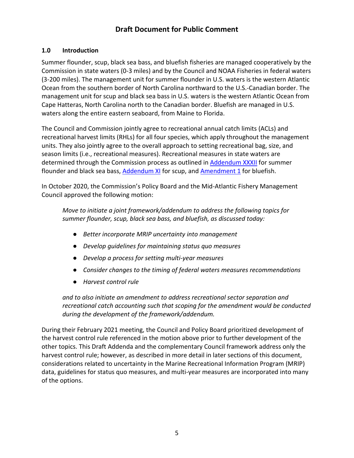#### <span id="page-5-0"></span>**1.0 Introduction**

Summer flounder, scup, black sea bass, and bluefish fisheries are managed cooperatively by the Commission in state waters (0-3 miles) and by the Council and NOAA Fisheries in federal waters (3-200 miles). The management unit for summer flounder in U.S. waters is the western Atlantic Ocean from the southern border of North Carolina northward to the U.S.-Canadian border. The management unit for scup and black sea bass in U.S. waters is the western Atlantic Ocean from Cape Hatteras, North Carolina north to the Canadian border. Bluefish are managed in U.S. waters along the entire eastern seaboard, from Maine to Florida.

The Council and Commission jointly agree to recreational annual catch limits (ACLs) and recreational harvest limits (RHLs) for all four species, which apply throughout the management units. They also jointly agree to the overall approach to setting recreational bag, size, and season limits (i.e., recreational measures). Recreational measures in state waters are determined through the Commission process as outlined in [Addendum](http://www.asmfc.org/uploads/file/5c1a66e2SF_BSB_AddendumXXXII_Dec2018.pdf) XXXII for summer flounder and black sea bass, [Addendum XI](http://www.asmfc.org/uploads/file/scupAddendumXI.pdf) for scup, and [Amendment 1](http://www.asmfc.org/uploads/file/bluefishAmendment1Vol1.pdf) for bluefish.

In October 2020, the Commission's Policy Board and the Mid-Atlantic Fishery Management Council approved the following motion:

*Move to initiate a joint framework/addendum to address the following topics for summer flounder, scup, black sea bass, and bluefish, as discussed today:*

- *Better incorporate MRIP uncertainty into management*
- *Develop guidelines for maintaining status quo measures*
- *Develop a process for setting multi-year measures*
- *Consider changes to the timing of federal waters measures recommendations*
- *Harvest control rule*

*and to also initiate an amendment to address recreational sector separation and recreational catch accounting such that scoping for the amendment would be conducted during the development of the framework/addendum.*

During their February 2021 meeting, the Council and Policy Board prioritized development of the harvest control rule referenced in the motion above prior to further development of the other topics. This Draft Addenda and the complementary Council framework address only the harvest control rule; however, as described in more detail in later sections of this document, considerations related to uncertainty in the Marine Recreational Information Program (MRIP) data, guidelines for status quo measures, and multi-year measures are incorporated into many of the options.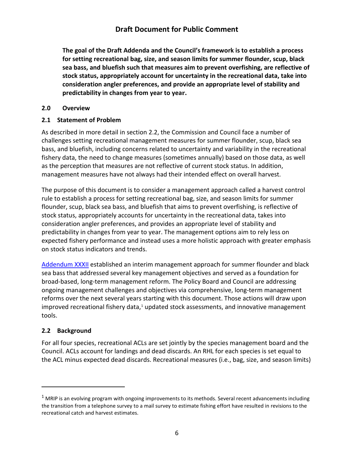**The goal of the Draft Addenda and the Council's framework is to establish a process for setting recreational bag, size, and season limits for summer flounder, scup, black sea bass, and bluefish such that measures aim to prevent overfishing, are reflective of stock status, appropriately account for uncertainty in the recreational data, take into consideration angler preferences, and provide an appropriate level of stability and predictability in changes from year to year.**

#### <span id="page-6-0"></span>**2.0 Overview**

#### <span id="page-6-1"></span>**2.1 Statement of Problem**

As described in more detail in section 2.2, the Commission and Council face a number of challenges setting recreational management measures for summer flounder, scup, black sea bass, and bluefish, including concerns related to uncertainty and variability in the recreational fishery data, the need to change measures (sometimes annually) based on those data, as well as the perception that measures are not reflective of current stock status. In addition, management measures have not always had their intended effect on overall harvest.

The purpose of this document is to consider a management approach called a harvest control rule to establish a process for setting recreational bag, size, and season limits for summer flounder, scup, black sea bass, and bluefish that aims to prevent overfishing, is reflective of stock status, appropriately accounts for uncertainty in the recreational data, takes into consideration angler preferences, and provides an appropriate level of stability and predictability in changes from year to year. The management options aim to rely less on expected fishery performance and instead uses a more holistic approach with greater emphasis on stock status indicators and trends.

[Addendum XXXII](http://www.asmfc.org/uploads/file/5c1a66e2SF_BSB_AddendumXXXII_Dec2018.pdf) established an interim management approach for summer flounder and black sea bass that addressed several key management objectives and served as a foundation for broad-based, long-term management reform. The Policy Board and Council are addressing ongoing management challenges and objectives via comprehensive, long-term management reforms over the next several years starting with this document. Those actions will draw upon improved recreational fishery data,<sup>[1](#page-6-3)</sup> updated stock assessments, and innovative management tools.

#### <span id="page-6-2"></span>**2.2 Background**

 $\overline{a}$ 

For all four species, recreational ACLs are set jointly by the species management board and the Council. ACLs account for landings and dead discards. An RHL for each species is set equal to the ACL minus expected dead discards. Recreational measures (i.e., bag, size, and season limits)

<span id="page-6-3"></span> $1$  MRIP is an evolving program with ongoing improvements to its methods. Several recent advancements including the transition from a telephone survey to a mail survey to estimate fishing effort have resulted in revisions to the recreational catch and harvest estimates.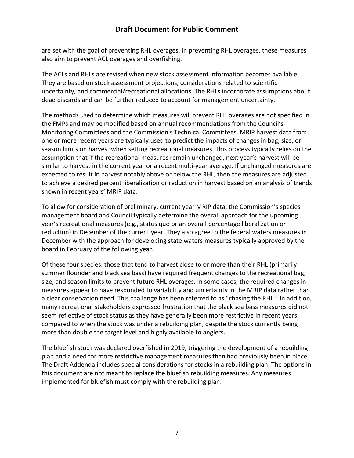are set with the goal of preventing RHL overages. In preventing RHL overages, these measures also aim to prevent ACL overages and overfishing.

The ACLs and RHLs are revised when new stock assessment information becomes available. They are based on stock assessment projections, considerations related to scientific uncertainty, and commercial/recreational allocations. The RHLs incorporate assumptions about dead discards and can be further reduced to account for management uncertainty.

The methods used to determine which measures will prevent RHL overages are not specified in the FMPs and may be modified based on annual recommendations from the Council's Monitoring Committees and the Commission's Technical Committees. MRIP harvest data from one or more recent years are typically used to predict the impacts of changes in bag, size, or season limits on harvest when setting recreational measures. This process typically relies on the assumption that if the recreational measures remain unchanged, next year's harvest will be similar to harvest in the current year or a recent multi-year average. If unchanged measures are expected to result in harvest notably above or below the RHL, then the measures are adjusted to achieve a desired percent liberalization or reduction in harvest based on an analysis of trends shown in recent years' MRIP data.

To allow for consideration of preliminary, current year MRIP data, the Commission's species management board and Council typically determine the overall approach for the upcoming year's recreational measures (e.g., status quo or an overall percentage liberalization or reduction) in December of the current year. They also agree to the federal waters measures in December with the approach for developing state waters measures typically approved by the board in February of the following year.

Of these four species, those that tend to harvest close to or more than their RHL (primarily summer flounder and black sea bass) have required frequent changes to the recreational bag, size, and season limits to prevent future RHL overages. In some cases, the required changes in measures appear to have responded to variability and uncertainty in the MRIP data rather than a clear conservation need. This challenge has been referred to as "chasing the RHL." In addition, many recreational stakeholders expressed frustration that the black sea bass measures did not seem reflective of stock status as they have generally been more restrictive in recent years compared to when the stock was under a rebuilding plan, despite the stock currently being more than double the target level and highly available to anglers.

The bluefish stock was declared overfished in 2019, triggering the development of a rebuilding plan and a need for more restrictive management measures than had previously been in place. The Draft Addenda includes special considerations for stocks in a rebuilding plan. The options in this document are not meant to replace the bluefish rebuilding measures. Any measures implemented for bluefish must comply with the rebuilding plan.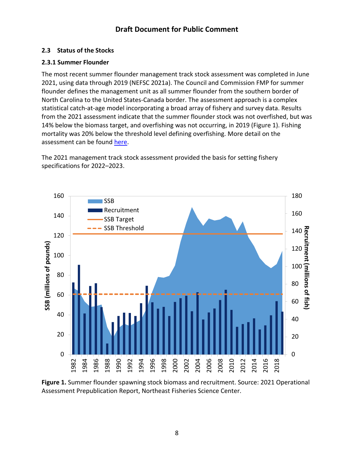### <span id="page-8-0"></span>**2.3 Status of the Stocks**

### <span id="page-8-1"></span>**2.3.1 Summer Flounder**

The most recent summer flounder management track stock assessment was completed in June 2021, using data through 2019 (NEFSC 2021a). The Council and Commission FMP for summer flounder defines the management unit as all summer flounder from the southern border of North Carolina to the United States-Canada border. The assessment approach is a complex statistical catch-at-age model incorporating a broad array of fishery and survey data. Results from the 2021 assessment indicate that the summer flounder stock was not overfished, but was 14% below the biomass target, and overfishing was not occurring, in 2019 [\(Figure 1\)](#page-8-2). Fishing mortality was 20% below the threshold level defining overfishing. More detail on the assessment can be found [here.](https://apps-nefsc.fisheries.noaa.gov/saw/sasi/uploads/2021_summer_flounder_MTA_report.pdf)

The 2021 management track stock assessment provided the basis for setting fishery specifications for 2022–2023.



<span id="page-8-2"></span>**Figure 1.** Summer flounder spawning stock biomass and recruitment. Source: 2021 Operational Assessment Prepublication Report, Northeast Fisheries Science Center.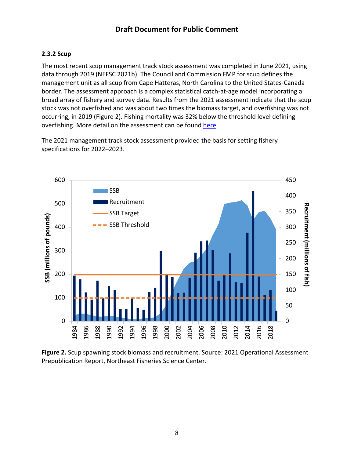### <span id="page-9-0"></span>**2.3.2 Scup**

The most recent scup management track stock assessment was completed in June 2021, using data through 2019 (NEFSC 2021b). The Council and Commission FMP for scup defines the management unit as all scup from Cape Hatteras, North Carolina to the United States-Canada border. The assessment approach is a complex statistical catch-at-age model incorporating a broad array of fishery and survey data. Results from the 2021 assessment indicate that the scup stock was not overfished and was about two times the biomass target, and overfishing was not occurring, in 2019 [\(Figure 2\)](#page-9-1). Fishing mortality was 32% below the threshold level defining overfishing. More detail on the assessment can be found [here.](https://apps-nefsc.fisheries.noaa.gov/saw/sasi/uploads/2021_scup_MTA_report.pdf)

The 2021 management track stock assessment provided the basis for setting fishery specifications for 2022–2023.



<span id="page-9-1"></span>**Figure 2.** Scup spawning stock biomass and recruitment. Source: 2021 Operational Assessment Prepublication Report, Northeast Fisheries Science Center.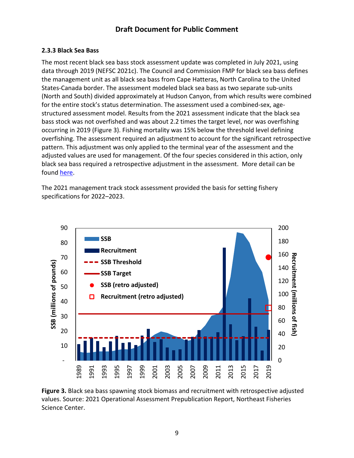#### <span id="page-10-0"></span>**2.3.3 Black Sea Bass**

The most recent black sea bass stock assessment update was completed in July 2021, using data through 2019 (NEFSC 2021c). The Council and Commission FMP for black sea bass defines the management unit as all black sea bass from Cape Hatteras, North Carolina to the United States-Canada border. The assessment modeled black sea bass as two separate sub-units (North and South) divided approximately at Hudson Canyon, from which results were combined for the entire stock's status determination. The assessment used a combined-sex, agestructured assessment model. Results from the 2021 assessment indicate that the black sea bass stock was not overfished and was about 2.2 times the target level, nor was overfishing occurring in 2019 [\(Figure 3\)](#page-10-1). Fishing mortality was 15% below the threshold level defining overfishing. The assessment required an adjustment to account for the significant retrospective pattern. This adjustment was only applied to the terminal year of the assessment and the adjusted values are used for management. Of the four species considered in this action, only black sea bass required a retrospective adjustment in the assessment. More detail can be found [here.](https://apps-nefsc.fisheries.noaa.gov/saw/sasi/uploads/BSB_Operational_assessment_2021-iii.pdf)

The 2021 management track stock assessment provided the basis for setting fishery specifications for 2022–2023.



<span id="page-10-1"></span>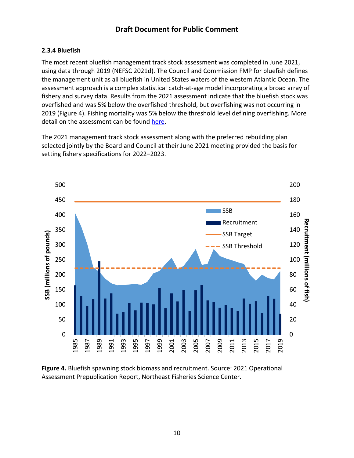#### <span id="page-11-0"></span>**2.3.4 Bluefish**

The most recent bluefish management track stock assessment was completed in June 2021, using data through 2019 (NEFSC 2021d). The Council and Commission FMP for bluefish defines the management unit as all bluefish in United States waters of the western Atlantic Ocean. The assessment approach is a complex statistical catch-at-age model incorporating a broad array of fishery and survey data. Results from the 2021 assessment indicate that the bluefish stock was overfished and was 5% below the overfished threshold, but overfishing was not occurring in [\(Figure 4\)](#page-11-1). Fishing mortality was 5% below the threshold level defining overfishing. More detail on the assessment can be found [here.](https://apps-nefsc.fisheries.noaa.gov/saw/sasi/uploads/Bluefish_2021_Assesssment_Update_v4.pdf)

The 2021 management track stock assessment along with the preferred rebuilding plan selected jointly by the Board and Council at their June 2021 meeting provided the basis for setting fishery specifications for 2022–2023.



<span id="page-11-1"></span>**Figure 4.** Bluefish spawning stock biomass and recruitment. Source: 2021 Operational Assessment Prepublication Report, Northeast Fisheries Science Center.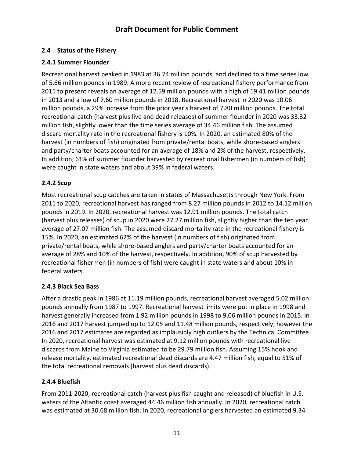### <span id="page-12-0"></span>**2.4 Status of the Fishery**

#### <span id="page-12-1"></span>**2.4.1 Summer Flounder**

Recreational harvest peaked in 1983 at 36.74 million pounds, and declined to a time series low of 5.66 million pounds in 1989. A more recent review of recreational fishery performance from 2011 to present reveals an average of 12.59 million pounds with a high of 19.41 million pounds in 2013 and a low of 7.60 million pounds in 2018. Recreational harvest in 2020 was 10.06 million pounds, a 29% increase from the prior year's harvest of 7.80 million pounds. The total recreational catch (harvest plus live and dead releases) of summer flounder in 2020 was 33.32 million fish, slightly lower than the time series average of 34.46 million fish. The assumed discard mortality rate in the recreational fishery is 10%. In 2020, an estimated 80% of the harvest (in numbers of fish) originated from private/rental boats, while shore-based anglers and party/charter boats accounted for an average of 18% and 2% of the harvest, respectively. In addition, 61% of summer flounder harvested by recreational fishermen (in numbers of fish) were caught in state waters and about 39% in federal waters.

### **2.4.2 Scup**

Most recreational scup catches are taken in states of Massachusetts through New York. From 2011 to 2020, recreational harvest has ranged from 8.27 million pounds in 2012 to 14.12 million pounds in 2019. In 2020, recreational harvest was 12.91 million pounds. The total catch (harvest plus releases) of scup in 2020 were 27.27 million fish, slightly higher than the ten year average of 27.07 million fish. The assumed discard mortality rate in the recreational fishery is 15%. In 2020, an estimated 62% of the harvest (in numbers of fish) originated from private/rental boats, while shore-based anglers and party/charter boats accounted for an average of 28% and 10% of the harvest, respectively. In addition, 90% of scup harvested by recreational fishermen (in numbers of fish) were caught in state waters and about 10% in federal waters.

#### <span id="page-12-2"></span>**2.4.3 Black Sea Bass**

After a drastic peak in 1986 at 11.19 million pounds, recreational harvest averaged 5.02 million pounds annually from 1987 to 1997. Recreational harvest limits were put in place in 1998 and harvest generally increased from 1.92 million pounds in 1998 to 9.06 million pounds in 2015. In 2016 and 2017 harvest jumped up to 12.05 and 11.48 million pounds, respectively; however the 2016 and 2017 estimates are regarded as implausibly high outliers by the Technical Committee. In 2020, recreational harvest was estimated at 9.12 million pounds with recreational live discards from Maine to Virginia estimated to be 29.79 million fish. Assuming 15% hook and release mortality, estimated recreational dead discards are 4.47 million fish, equal to 51% of the total recreational removals (harvest plus dead discards).

#### <span id="page-12-3"></span>**2.4.4 Bluefish**

From 2011-2020, recreational catch (harvest plus fish caught and released) of bluefish in U.S. waters of the Atlantic coast averaged 44.46 million fish annually. In 2020, recreational catch was estimated at 30.68 million fish. In 2020, recreational anglers harvested an estimated 9.34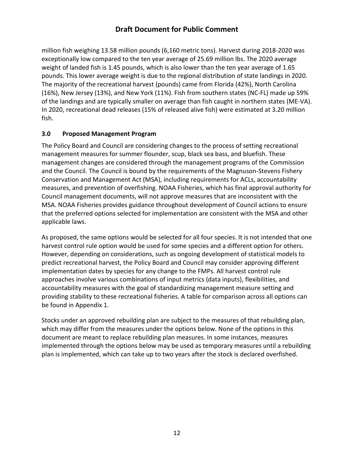million fish weighing 13.58 million pounds (6,160 metric tons). Harvest during 2018-2020 was exceptionally low compared to the ten year average of 25.69 million lbs. The 2020 average weight of landed fish is 1.45 pounds, which is also lower than the ten year average of 1.65 pounds. This lower average weight is due to the regional distribution of state landings in 2020. The majority of the recreational harvest (pounds) came from Florida (42%), North Carolina (16%), New Jersey (13%), and New York (11%). Fish from southern states (NC-FL) made up 59% of the landings and are typically smaller on average than fish caught in northern states (ME-VA). In 2020, recreational dead releases (15% of released alive fish) were estimated at 3.20 million fish.

### <span id="page-13-0"></span>**3.0 Proposed Management Program**

The Policy Board and Council are considering changes to the process of setting recreational management measures for summer flounder, scup, black sea bass, and bluefish. These management changes are considered through the management programs of the Commission and the Council. The Council is bound by the requirements of the Magnuson-Stevens Fishery Conservation and Management Act (MSA), including requirements for ACLs, accountability measures, and prevention of overfishing. NOAA Fisheries, which has final approval authority for Council management documents, will not approve measures that are inconsistent with the MSA. NOAA Fisheries provides guidance throughout development of Council actions to ensure that the preferred options selected for implementation are consistent with the MSA and other applicable laws.

As proposed, the same options would be selected for all four species. It is not intended that one harvest control rule option would be used for some species and a different option for others. However, depending on considerations, such as ongoing development of statistical models to predict recreational harvest, the Policy Board and Council may consider approving different implementation dates by species for any change to the FMPs. All harvest control rule approaches involve various combinations of input metrics (data inputs), flexibilities, and accountability measures with the goal of standardizing management measure setting and providing stability to these recreational fisheries. A table for comparison across all options can be found in Appendix 1.

Stocks under an approved rebuilding plan are subject to the measures of that rebuilding plan, which may differ from the measures under the options below. None of the options in this document are meant to replace rebuilding plan measures. In some instances, measures implemented through the options below may be used as temporary measures until a rebuilding plan is implemented, which can take up to two years after the stock is declared overfished.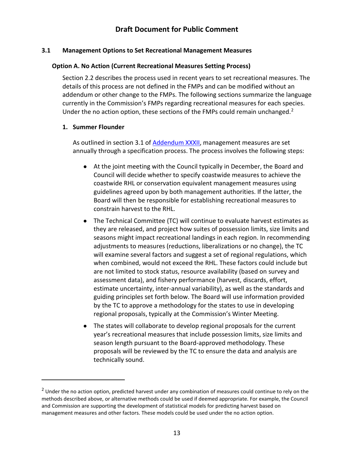#### **3.1 Management Options to Set Recreational Management Measures**

#### <span id="page-14-0"></span>**Option A. No Action (Current Recreational Measures Setting Process)**

Section 2.2 describes the process used in recent years to set recreational measures. The details of this process are not defined in the FMPs and can be modified without an addendum or other change to the FMPs. The following sections summarize the language currently in the Commission's FMPs regarding recreational measures for each species. Under the no action option, these sections of the FMPs could remain unchanged.<sup>2</sup>

#### **1. Summer Flounder**

 $\overline{a}$ 

As outlined in section 3.1 of [Addendum XXXII,](http://www.asmfc.org/uploads/file/5c1a6706SF_BSB_AddendumXXXII_Dec2018.pdf) management measures are set annually through a specification process. The process involves the following steps:

- At the joint meeting with the Council typically in December, the Board and Council will decide whether to specify coastwide measures to achieve the coastwide RHL or conservation equivalent management measures using guidelines agreed upon by both management authorities. If the latter, the Board will then be responsible for establishing recreational measures to constrain harvest to the RHL.
- The Technical Committee (TC) will continue to evaluate harvest estimates as they are released, and project how suites of possession limits, size limits and seasons might impact recreational landings in each region. In recommending adjustments to measures (reductions, liberalizations or no change), the TC will examine several factors and suggest a set of regional regulations, which when combined, would not exceed the RHL. These factors could include but are not limited to stock status, resource availability (based on survey and assessment data), and fishery performance (harvest, discards, effort, estimate uncertainty, inter-annual variability), as well as the standards and guiding principles set forth below. The Board will use information provided by the TC to approve a methodology for the states to use in developing regional proposals, typically at the Commission's Winter Meeting.
- The states will collaborate to develop regional proposals for the current year's recreational measures that include possession limits, size limits and season length pursuant to the Board-approved methodology. These proposals will be reviewed by the TC to ensure the data and analysis are technically sound.

<span id="page-14-1"></span><sup>&</sup>lt;sup>2</sup> Under the no action option, predicted harvest under any combination of measures could continue to rely on the methods described above, or alternative methods could be used if deemed appropriate. For example, the Council and Commission are supporting the development of statistical models for predicting harvest based on management measures and other factors. These models could be used under the no action option.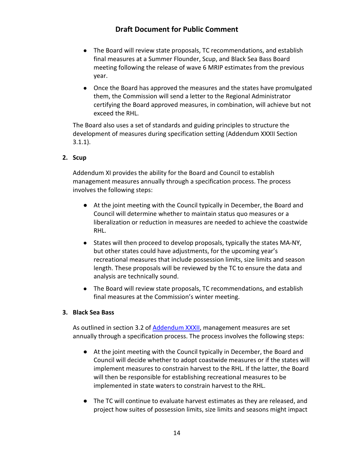- The Board will review state proposals, TC recommendations, and establish final measures at a Summer Flounder, Scup, and Black Sea Bass Board meeting following the release of wave 6 MRIP estimates from the previous year.
- Once the Board has approved the measures and the states have promulgated them, the Commission will send a letter to the Regional Administrator certifying the Board approved measures, in combination, will achieve but not exceed the RHL.

The Board also uses a set of standards and guiding principles to structure the development of measures during specification setting (Addendum XXXII Section 3.1.1).

#### **2. Scup**

Addendum XI provides the ability for the Board and Council to establish management measures annually through a specification process. The process involves the following steps:

- At the joint meeting with the Council typically in December, the Board and Council will determine whether to maintain status quo measures or a liberalization or reduction in measures are needed to achieve the coastwide RHL.
- States will then proceed to develop proposals, typically the states MA-NY, but other states could have adjustments, for the upcoming year's recreational measures that include possession limits, size limits and season length. These proposals will be reviewed by the TC to ensure the data and analysis are technically sound.
- The Board will review state proposals, TC recommendations, and establish final measures at the Commission's winter meeting.

#### **3. Black Sea Bass**

As outlined in section 3.2 of [Addendum XXXII,](http://www.asmfc.org/uploads/file/5c1a66e2SF_BSB_AddendumXXXII_Dec2018.pdf) management measures are set annually through a specification process. The process involves the following steps:

- At the joint meeting with the Council typically in December, the Board and Council will decide whether to adopt coastwide measures or if the states will implement measures to constrain harvest to the RHL. If the latter, the Board will then be responsible for establishing recreational measures to be implemented in state waters to constrain harvest to the RHL.
- The TC will continue to evaluate harvest estimates as they are released, and project how suites of possession limits, size limits and seasons might impact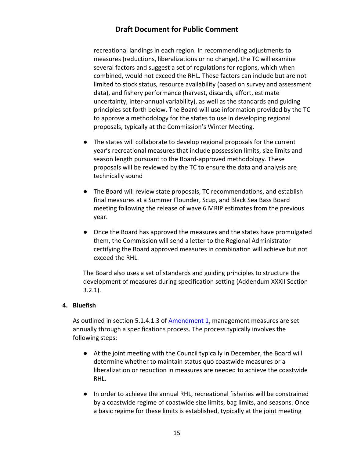recreational landings in each region. In recommending adjustments to measures (reductions, liberalizations or no change), the TC will examine several factors and suggest a set of regulations for regions, which when combined, would not exceed the RHL. These factors can include but are not limited to stock status, resource availability (based on survey and assessment data), and fishery performance (harvest, discards, effort, estimate uncertainty, inter-annual variability), as well as the standards and guiding principles set forth below. The Board will use information provided by the TC to approve a methodology for the states to use in developing regional proposals, typically at the Commission's Winter Meeting.

- The states will collaborate to develop regional proposals for the current year's recreational measures that include possession limits, size limits and season length pursuant to the Board-approved methodology. These proposals will be reviewed by the TC to ensure the data and analysis are technically sound
- The Board will review state proposals, TC recommendations, and establish final measures at a Summer Flounder, Scup, and Black Sea Bass Board meeting following the release of wave 6 MRIP estimates from the previous year.
- Once the Board has approved the measures and the states have promulgated them, the Commission will send a letter to the Regional Administrator certifying the Board approved measures in combination will achieve but not exceed the RHL.

The Board also uses a set of standards and guiding principles to structure the development of measures during specification setting (Addendum XXXII Section 3.2.1).

#### **4. Bluefish**

As outlined in section 5.1.4.1.3 of [Amendment 1,](https://www.mafmc.org/s/Bluefish_Amend_1_Vol_1.pdf) management measures are set annually through a specifications process. The process typically involves the following steps:

- At the joint meeting with the Council typically in December, the Board will determine whether to maintain status quo coastwide measures or a liberalization or reduction in measures are needed to achieve the coastwide RHL.
- In order to achieve the annual RHL, recreational fisheries will be constrained by a coastwide regime of coastwide size limits, bag limits, and seasons. Once a basic regime for these limits is established, typically at the joint meeting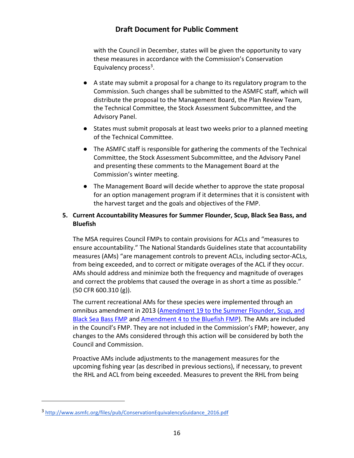with the Council in December, states will be given the opportunity to vary these measures in accordance with the Commission's Conservation Equivalency process $3$ .

- A state may submit a proposal for a change to its regulatory program to the Commission. Such changes shall be submitted to the ASMFC staff, which will distribute the proposal to the Management Board, the Plan Review Team, the Technical Committee, the Stock Assessment Subcommittee, and the Advisory Panel.
- States must submit proposals at least two weeks prior to a planned meeting of the Technical Committee.
- The ASMFC staff is responsible for gathering the comments of the Technical Committee, the Stock Assessment Subcommittee, and the Advisory Panel and presenting these comments to the Management Board at the Commission's winter meeting.
- The Management Board will decide whether to approve the state proposal for an option management program if it determines that it is consistent with the harvest target and the goals and objectives of the FMP.

#### **5. Current Accountability Measures for Summer Flounder, Scup, Black Sea Bass, and Bluefish**

The MSA requires Council FMPs to contain provisions for ACLs and "measures to ensure accountability." The National Standards Guidelines state that accountability measures (AMs) "are management controls to prevent ACLs, including sector-ACLs, from being exceeded, and to correct or mitigate overages of the ACL if they occur. AMs should address and minimize both the frequency and magnitude of overages and correct the problems that caused the overage in as short a time as possible." (50 CFR 600.310 (g)).

The current recreational AMs for these species were implemented through an omnibus amendment in 2013 [\(Amendment 19 to the Summer Flounder, Scup, and](http://www.mafmc.org/s/AM-Document-Submitted-Main-Doc-07lp.pdf)  [Black Sea Bass FMP](http://www.mafmc.org/s/AM-Document-Submitted-Main-Doc-07lp.pdf) and [Amendment 4 to the Bluefish FMP\)](http://www.mafmc.org/s/AM-Document-Submitted-Main-Doc-07lp.pdf). The AMs are included in the Council's FMP. They are not included in the Commission's FMP; however, any changes to the AMs considered through this action will be considered by both the Council and Commission.

Proactive AMs include adjustments to the management measures for the upcoming fishing year (as described in previous sections), if necessary, to prevent the RHL and ACL from being exceeded. Measures to prevent the RHL from being

 $\overline{a}$ 

<span id="page-17-0"></span><sup>3</sup> [http://www.asmfc.org/files/pub/ConservationEquivalencyGuidance\\_2016.pdf](http://www.asmfc.org/files/pub/ConservationEquivalencyGuidance_2016.pdf)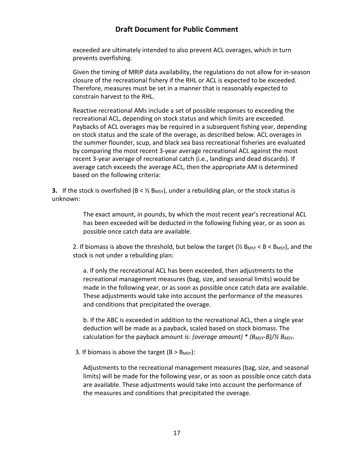exceeded are ultimately intended to also prevent ACL overages, which in turn prevents overfishing.

Given the timing of MRIP data availability, the regulations do not allow for in-season closure of the recreational fishery if the RHL or ACL is expected to be exceeded. Therefore, measures must be set in a manner that is reasonably expected to constrain harvest to the RHL.

Reactive recreational AMs include a set of possible responses to exceeding the recreational ACL, depending on stock status and which limits are exceeded. Paybacks of ACL overages may be required in a subsequent fishing year, depending on stock status and the scale of the overage, as described below. ACL overages in the summer flounder, scup, and black sea bass recreational fisheries are evaluated by comparing the most recent 3-year average recreational ACL against the most recent 3-year average of recreational catch (i.e., landings and dead discards). If average catch exceeds the average ACL, then the appropriate AM is determined based on the following criteria:

**3.** If the stock is overfished ( $B < \frac{1}{2}$  B<sub>MSY</sub>), under a rebuilding plan, or the stock status is unknown:

> The exact amount, in pounds, by which the most recent year's recreational ACL has been exceeded will be deducted in the following fishing year, or as soon as possible once catch data are available.

2. If biomass is above the threshold, but below the target ( $\frac{1}{2}$  B<sub>MSY</sub> < B < B<sub>MSY</sub>), and the stock is not under a rebuilding plan:

a. If only the recreational ACL has been exceeded, then adjustments to the recreational management measures (bag, size, and seasonal limits) would be made in the following year, or as soon as possible once catch data are available. These adjustments would take into account the performance of the measures and conditions that precipitated the overage.

b. If the ABC is exceeded in addition to the recreational ACL, then a single year deduction will be made as a payback, scaled based on stock biomass. The calculation for the payback amount is: *(overage amount) \* (BMSY-B)/½ BMSY*.

3. If biomass is above the target  $(B > B_{MSY})$ :

Adjustments to the recreational management measures (bag, size, and seasonal limits) will be made for the following year, or as soon as possible once catch data are available. These adjustments would take into account the performance of the measures and conditions that precipitated the overage.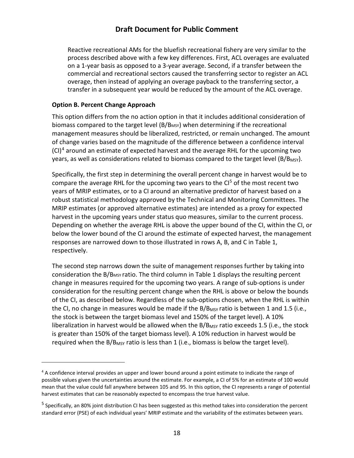Reactive recreational AMs for the bluefish recreational fishery are very similar to the process described above with a few key differences. First, ACL overages are evaluated on a 1-year basis as opposed to a 3-year average. Second, if a transfer between the commercial and recreational sectors caused the transferring sector to register an ACL overage, then instead of applying an overage payback to the transferring sector, a transfer in a subsequent year would be reduced by the amount of the ACL overage.

#### <span id="page-19-0"></span>**Option B. Percent Change Approach**

 $\overline{a}$ 

This option differs from the no action option in that it includes additional consideration of biomass compared to the target level  $(B/B<sub>MSY</sub>)$  when determining if the recreational management measures should be liberalized, restricted, or remain unchanged. The amount of change varies based on the magnitude of the difference between a confidence interval  $(CI)^4$  $(CI)^4$  around an estimate of expected harvest and the average RHL for the upcoming two years, as well as considerations related to biomass compared to the target level (B/B<sub>MSY</sub>).

Specifically, the first step in determining the overall percent change in harvest would be to compare the average RHL for the upcoming two years to the  $Cl<sup>5</sup>$  of the most recent two years of MRIP estimates, or to a CI around an alternative predictor of harvest based on a robust statistical methodology approved by the Technical and Monitoring Committees. The MRIP estimates (or approved alternative estimates) are intended as a proxy for expected harvest in the upcoming years under status quo measures, similar to the current process. Depending on whether the average RHL is above the upper bound of the CI, within the CI, or below the lower bound of the CI around the estimate of expected harvest, the management responses are narrowed down to those illustrated in rows A, B, and C in [Table 1,](#page-22-0) respectively.

The second step narrows down the suite of management responses further by taking into consideration the B/BMSY ratio. The third column in [Table 1](#page-22-0) displays the resulting percent change in measures required for the upcoming two years. A range of sub-options is under consideration for the resulting percent change when the RHL is above or below the bounds of the CI, as described below. Regardless of the sub-options chosen, when the RHL is within the CI, no change in measures would be made if the  $B/B_{MSY}$  ratio is between 1 and 1.5 (i.e., the stock is between the target biomass level and 150% of the target level). A 10% liberalization in harvest would be allowed when the  $B/B_{MSY}$  ratio exceeds 1.5 (i.e., the stock is greater than 150% of the target biomass level). A 10% reduction in harvest would be required when the B/B<sub>MSY</sub> ratio is less than 1 (i.e., biomass is below the target level).

<span id="page-19-1"></span><sup>&</sup>lt;sup>4</sup> A confidence interval provides an upper and lower bound around a point estimate to indicate the range of possible values given the uncertainties around the estimate. For example, a CI of 5% for an estimate of 100 would mean that the value could fall anywhere between 105 and 95. In this option, the CI represents a range of potential harvest estimates that can be reasonably expected to encompass the true harvest value.

<span id="page-19-2"></span><sup>&</sup>lt;sup>5</sup> Specifically, an 80% joint distribution CI has been suggested as this method takes into consideration the percent standard error (PSE) of each individual years' MRIP estimate and the variability of the estimates between years.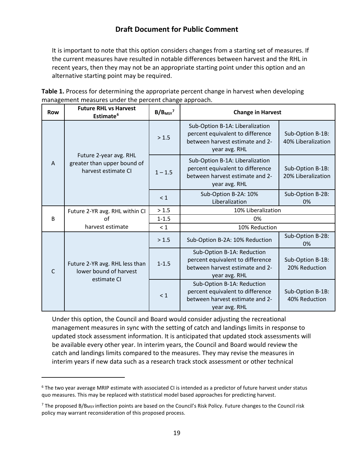It is important to note that this option considers changes from a starting set of measures. If the current measures have resulted in notable differences between harvest and the RHL in recent years, then they may not be an appropriate starting point under this option and an alternative starting point may be required.

| Table 1. Process for determining the appropriate percent change in harvest when developing |
|--------------------------------------------------------------------------------------------|
| management measures under the percent change approach.                                     |

| <b>Row</b>     | <b>Future RHL vs Harvest</b><br>Estimate <sup>6</sup>                        | B/B <sub>MSY</sub> | <b>Change in Harvest</b>                                                                                                |                                        |  |
|----------------|------------------------------------------------------------------------------|--------------------|-------------------------------------------------------------------------------------------------------------------------|----------------------------------------|--|
|                |                                                                              | > 1.5              | Sub-Option B-1A: Liberalization<br>percent equivalent to difference<br>between harvest estimate and 2-<br>year avg. RHL | Sub-Option B-1B:<br>40% Liberalization |  |
| $\overline{A}$ | Future 2-year avg. RHL<br>greater than upper bound of<br>harvest estimate CI | $1 - 1.5$          | Sub-Option B-1A: Liberalization<br>percent equivalent to difference<br>between harvest estimate and 2-<br>year avg. RHL | Sub-Option B-1B:<br>20% Liberalization |  |
|                |                                                                              | < 1                | Sub-Option B-2A: 10%<br>Liberalization                                                                                  | Sub-Option B-2B:<br>0%                 |  |
|                | Future 2-YR avg. RHL within CI                                               | > 1.5              | 10% Liberalization                                                                                                      |                                        |  |
| B              | οf                                                                           | $1 - 1.5$          | 0%                                                                                                                      |                                        |  |
|                | harvest estimate                                                             | $\leq 1$           | 10% Reduction                                                                                                           |                                        |  |
|                |                                                                              | > 1.5              | Sub-Option B-2A: 10% Reduction                                                                                          | Sub-Option B-2B:<br>0%                 |  |
| C              | Future 2-YR avg. RHL less than<br>lower bound of harvest<br>estimate CI      | $1 - 1.5$          | Sub-Option B-1A: Reduction<br>percent equivalent to difference<br>between harvest estimate and 2-<br>year avg. RHL      | Sub-Option B-1B:<br>20% Reduction      |  |
|                |                                                                              | < 1                | Sub-Option B-1A: Reduction<br>percent equivalent to difference<br>between harvest estimate and 2-<br>year avg. RHL      | Sub-Option B-1B:<br>40% Reduction      |  |

Under this option, the Council and Board would consider adjusting the recreational management measures in sync with the setting of catch and landings limits in response to updated stock assessment information. It is anticipated that updated stock assessments will be available every other year. In interim years, the Council and Board would review the catch and landings limits compared to the measures. They may revise the measures in interim years if new data such as a research track stock assessment or other technical

 $\overline{a}$ 

<span id="page-20-0"></span><sup>&</sup>lt;sup>6</sup> The two year average MRIP estimate with associated CI is intended as a predictor of future harvest under status quo measures. This may be replaced with statistical model based approaches for predicting harvest.

<span id="page-20-1"></span><sup>&</sup>lt;sup>7</sup> The proposed B/B<sub>MSY</sub> inflection points are based on the Council's Risk Policy. Future changes to the Council risk policy may warrant reconsideration of this proposed process.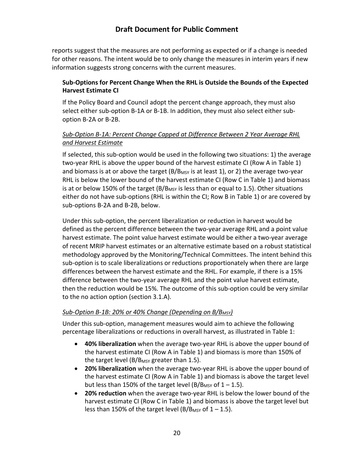reports suggest that the measures are not performing as expected or if a change is needed for other reasons. The intent would be to only change the measures in interim years if new information suggests strong concerns with the current measures.

#### **Sub-Options for Percent Change When the RHL is Outside the Bounds of the Expected Harvest Estimate CI**

If the Policy Board and Council adopt the percent change approach, they must also select either sub-option B-1A or B-1B. In addition, they must also select either suboption B-2A or B-2B.

#### *Sub-Option B-1A: Percent Change Capped at Difference Between 2 Year Average RHL and Harvest Estimate*

If selected, this sub-option would be used in the following two situations: 1) the average two-year RHL is above the upper bound of the harvest estimate CI (Row A in [Table 1\)](#page-22-0) and biomass is at or above the target  $(B/B<sub>MSY</sub>$  is at least 1), or 2) the average two-year RHL is below the lower bound of the harvest estimate CI (Row C in [Table 1\)](#page-22-0) and biomass is at or below 150% of the target ( $B/B_{MSY}$  is less than or equal to 1.5). Other situations either do not have sub-options (RHL is within the CI; Row B in [Table 1\)](#page-22-0) or are covered by sub-options B-2A and B-2B, below.

Under this sub-option, the percent liberalization or reduction in harvest would be defined as the percent difference between the two-year average RHL and a point value harvest estimate. The point value harvest estimate would be either a two-year average of recent MRIP harvest estimates or an alternative estimate based on a robust statistical methodology approved by the Monitoring/Technical Committees. The intent behind this sub-option is to scale liberalizations or reductions proportionately when there are large differences between the harvest estimate and the RHL. For example, if there is a 15% difference between the two-year average RHL and the point value harvest estimate, then the reduction would be 15%. The outcome of this sub-option could be very similar to the no action option (section 3.1.A).

### Sub-Option B-1B: 20% or 40% Change (Depending on B/B<sub>MSY</sub>)

Under this sub-option, management measures would aim to achieve the following percentage liberalizations or reductions in overall harvest, as illustrated in [Table 1:](#page-22-0)

- **40% liberalization** when the average two-year RHL is above the upper bound of the harvest estimate CI (Row A in [Table 1\)](#page-22-0) and biomass is more than 150% of the target level ( $B/B$ <sub>MSY</sub> greater than 1.5).
- **20% liberalization** when the average two-year RHL is above the upper bound of the harvest estimate CI (Row A in [Table 1\)](#page-22-0) and biomass is above the target level but less than 150% of the target level (B/B<sub>MSY</sub> of  $1 - 1.5$ ).
- **20% reduction** when the average two-year RHL is below the lower bound of the harvest estimate CI (Row C in [Table 1\)](#page-22-0) and biomass is above the target level but less than 150% of the target level (B/B<sub>MSY</sub> of  $1 - 1.5$ ).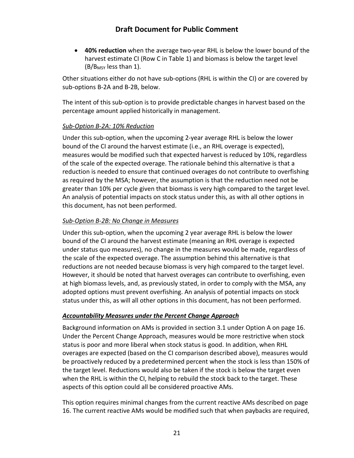• **40% reduction** when the average two-year RHL is below the lower bound of the harvest estimate CI (Row C in [Table 1\)](#page-22-0) and biomass is below the target level (B/BMSY less than 1).

Other situations either do not have sub-options (RHL is within the CI) or are covered by sub-options B-2A and B-2B, below.

The intent of this sub-option is to provide predictable changes in harvest based on the percentage amount applied historically in management.

#### *Sub-Option B-2A: 10% Reduction*

Under this sub-option, when the upcoming 2-year average RHL is below the lower bound of the CI around the harvest estimate (i.e., an RHL overage is expected), measures would be modified such that expected harvest is reduced by 10%, regardless of the scale of the expected overage. The rationale behind this alternative is that a reduction is needed to ensure that continued overages do not contribute to overfishing as required by the MSA; however, the assumption is that the reduction need not be greater than 10% per cycle given that biomass is very high compared to the target level. An analysis of potential impacts on stock status under this, as with all other options in this document, has not been performed.

#### *Sub-Option B-2B: No Change in Measures*

Under this sub-option, when the upcoming 2 year average RHL is below the lower bound of the CI around the harvest estimate (meaning an RHL overage is expected under status quo measures), no change in the measures would be made, regardless of the scale of the expected overage. The assumption behind this alternative is that reductions are not needed because biomass is very high compared to the target level. However, it should be noted that harvest overages can contribute to overfishing, even at high biomass levels, and, as previously stated, in order to comply with the MSA, any adopted options must prevent overfishing. An analysis of potential impacts on stock status under this, as will all other options in this document, has not been performed.

#### <span id="page-22-0"></span>*Accountability Measures under the Percent Change Approach*

Background information on AMs is provided in section 3.1 under Option A on page 16. Under the Percent Change Approach, measures would be more restrictive when stock status is poor and more liberal when stock status is good. In addition, when RHL overages are expected (based on the CI comparison described above), measures would be proactively reduced by a predetermined percent when the stock is less than 150% of the target level. Reductions would also be taken if the stock is below the target even when the RHL is within the CI, helping to rebuild the stock back to the target. These aspects of this option could all be considered proactive AMs.

This option requires minimal changes from the current reactive AMs described on page 16. The current reactive AMs would be modified such that when paybacks are required,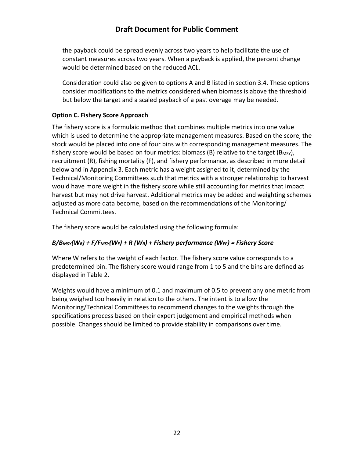the payback could be spread evenly across two years to help facilitate the use of constant measures across two years. When a payback is applied, the percent change would be determined based on the reduced ACL.

Consideration could also be given to options A and B listed in section 3.4. These options consider modifications to the metrics considered when biomass is above the threshold but below the target and a scaled payback of a past overage may be needed.

#### <span id="page-23-0"></span>**Option C. Fishery Score Approach**

The fishery score is a formulaic method that combines multiple metrics into one value which is used to determine the appropriate management measures. Based on the score, the stock would be placed into one of four bins with corresponding management measures. The fishery score would be based on four metrics: biomass (B) relative to the target ( $B_{MSY}$ ), recruitment (R), fishing mortality (F), and fishery performance, as described in more detail below and in Appendix 3. Each metric has a weight assigned to it, determined by the Technical/Monitoring Committees such that metrics with a stronger relationship to harvest would have more weight in the fishery score while still accounting for metrics that impact harvest but may not drive harvest. Additional metrics may be added and weighting schemes adjusted as more data become, based on the recommendations of the Monitoring/ Technical Committees.

The fishery score would be calculated using the following formula:

### *B/BMSY(WB) + F/FMSY(WF) + R (WR) + Fishery performance (WFP) = Fishery Score*

Where W refers to the weight of each factor. The fishery score value corresponds to a predetermined bin. The fishery score would range from 1 to 5 and the bins are defined as displayed in [Table 2.](#page-23-1)

<span id="page-23-1"></span>Weights would have a minimum of 0.1 and maximum of 0.5 to prevent any one metric from being weighed too heavily in relation to the others. The intent is to allow the Monitoring/Technical Committees to recommend changes to the weights through the specifications process based on their expert judgement and empirical methods when possible. Changes should be limited to provide stability in comparisons over time.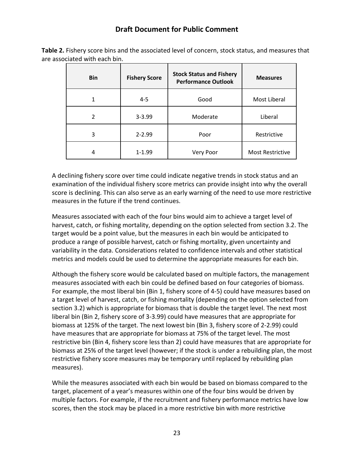**Table 2.** Fishery score bins and the associated level of concern, stock status, and measures that are associated with each bin.

| <b>Bin</b>     | <b>Fishery Score</b> | <b>Stock Status and Fishery</b><br><b>Performance Outlook</b> | <b>Measures</b>         |
|----------------|----------------------|---------------------------------------------------------------|-------------------------|
|                | $4 - 5$<br>Good      |                                                               | Most Liberal            |
| $\mathfrak{p}$ | $3 - 3.99$           | Moderate                                                      | Liberal                 |
| 3              | $2 - 2.99$           | Poor                                                          | Restrictive             |
| 4              | $1 - 1.99$           | Very Poor                                                     | <b>Most Restrictive</b> |

A declining fishery score over time could indicate negative trends in stock status and an examination of the individual fishery score metrics can provide insight into why the overall score is declining. This can also serve as an early warning of the need to use more restrictive measures in the future if the trend continues.

Measures associated with each of the four bins would aim to achieve a target level of harvest, catch, or fishing mortality, depending on the option selected from section 3.2. The target would be a point value, but the measures in each bin would be anticipated to produce a range of possible harvest, catch or fishing mortality, given uncertainty and variability in the data. Considerations related to confidence intervals and other statistical metrics and models could be used to determine the appropriate measures for each bin.

Although the fishery score would be calculated based on multiple factors, the management measures associated with each bin could be defined based on four categories of biomass. For example, the most liberal bin (Bin 1, fishery score of 4-5) could have measures based on a target level of harvest, catch, or fishing mortality (depending on the option selected from section 3.2) which is appropriate for biomass that is double the target level. The next most liberal bin (Bin 2, fishery score of 3-3.99) could have measures that are appropriate for biomass at 125% of the target. The next lowest bin (Bin 3, fishery score of 2-2.99) could have measures that are appropriate for biomass at 75% of the target level. The most restrictive bin (Bin 4, fishery score less than 2) could have measures that are appropriate for biomass at 25% of the target level (however; if the stock is under a rebuilding plan, the most restrictive fishery score measures may be temporary until replaced by rebuilding plan measures).

While the measures associated with each bin would be based on biomass compared to the target, placement of a year's measures within one of the four bins would be driven by multiple factors. For example, if the recruitment and fishery performance metrics have low scores, then the stock may be placed in a more restrictive bin with more restrictive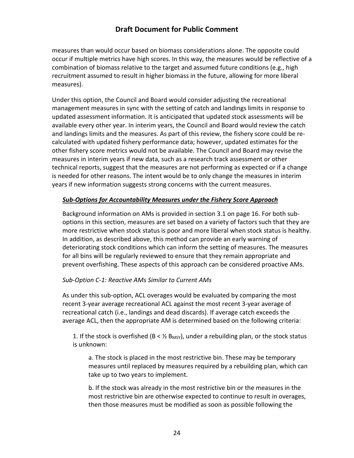measures than would occur based on biomass considerations alone. The opposite could occur if multiple metrics have high scores. In this way, the measures would be reflective of a combination of biomass relative to the target and assumed future conditions (e.g., high recruitment assumed to result in higher biomass in the future, allowing for more liberal measures).

Under this option, the Council and Board would consider adjusting the recreational management measures in sync with the setting of catch and landings limits in response to updated assessment information. It is anticipated that updated stock assessments will be available every other year. In interim years, the Council and Board would review the catch and landings limits and the measures. As part of this review, the fishery score could be recalculated with updated fishery performance data; however, updated estimates for the other fishery score metrics would not be available. The Council and Board may revise the measures in interim years if new data, such as a research track assessment or other technical reports, suggest that the measures are not performing as expected or if a change is needed for other reasons. The intent would be to only change the measures in interim years if new information suggests strong concerns with the current measures.

#### *Sub-Options for Accountability Measure***s** *under the Fishery Score Approach*

Background information on AMs is provided in section 3.1 on page 16. For both suboptions in this section, measures are set based on a variety of factors such that they are more restrictive when stock status is poor and more liberal when stock status is healthy. In addition, as described above, this method can provide an early warning of deteriorating stock conditions which can inform the setting of measures. The measures for all bins will be regularly reviewed to ensure that they remain appropriate and prevent overfishing. These aspects of this approach can be considered proactive AMs.

#### *Sub-Option C-1: Reactive AMs Similar to Current AMs*

As under this sub-option, ACL overages would be evaluated by comparing the most recent 3-year average recreational ACL against the most recent 3-year average of recreational catch (i.e., landings and dead discards). If average catch exceeds the average ACL, then the appropriate AM is determined based on the following criteria:

1. If the stock is overfished (B <  $\frac{1}{2}$  B<sub>MSY</sub>), under a rebuilding plan, or the stock status is unknown:

a. The stock is placed in the most restrictive bin. These may be temporary measures until replaced by measures required by a rebuilding plan, which can take up to two years to implement.

b. If the stock was already in the most restrictive bin or the measures in the most restrictive bin are otherwise expected to continue to result in overages, then those measures must be modified as soon as possible following the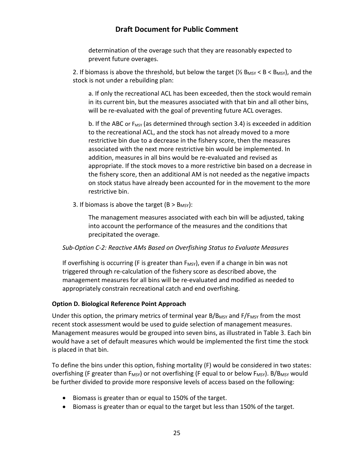determination of the overage such that they are reasonably expected to prevent future overages.

2. If biomass is above the threshold, but below the target ( $\frac{1}{2}$  B<sub>MSY</sub> < B < B<sub>MSY</sub>), and the stock is not under a rebuilding plan:

a. If only the recreational ACL has been exceeded, then the stock would remain in its current bin, but the measures associated with that bin and all other bins, will be re-evaluated with the goal of preventing future ACL overages.

b. If the ABC or  $F_{MSY}$  (as determined through section 3.4) is exceeded in addition to the recreational ACL, and the stock has not already moved to a more restrictive bin due to a decrease in the fishery score, then the measures associated with the next more restrictive bin would be implemented. In addition, measures in all bins would be re-evaluated and revised as appropriate. If the stock moves to a more restrictive bin based on a decrease in the fishery score, then an additional AM is not needed as the negative impacts on stock status have already been accounted for in the movement to the more restrictive bin.

3. If biomass is above the target  $(B > B_{MSY})$ :

The management measures associated with each bin will be adjusted, taking into account the performance of the measures and the conditions that precipitated the overage.

#### *Sub-Option C-2: Reactive AMs Based on Overfishing Status to Evaluate Measures*

If overfishing is occurring (F is greater than  $F_{MSV}$ ), even if a change in bin was not triggered through re-calculation of the fishery score as described above, the management measures for all bins will be re-evaluated and modified as needed to appropriately constrain recreational catch and end overfishing.

#### <span id="page-26-0"></span>**Option D. Biological Reference Point Approach**

Under this option, the primary metrics of terminal year  $B/B_{MSY}$  and  $F/F_{MSY}$  from the most recent stock assessment would be used to guide selection of management measures. Management measures would be grouped into seven bins, as illustrated in Table 3. Each bin would have a set of default measures which would be implemented the first time the stock is placed in that bin.

To define the bins under this option, fishing mortality (F) would be considered in two states: overfishing (F greater than  $F_{MSY}$ ) or not overfishing (F equal to or below  $F_{MSY}$ ). B/B<sub>MSY</sub> would be further divided to provide more responsive levels of access based on the following:

- Biomass is greater than or equal to 150% of the target.
- Biomass is greater than or equal to the target but less than 150% of the target.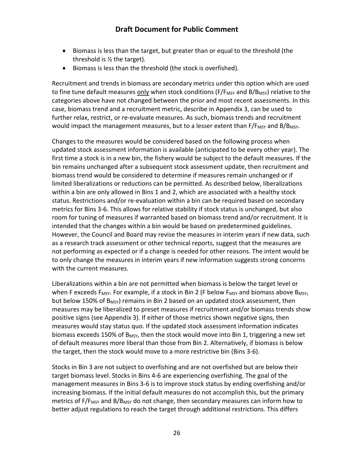- Biomass is less than the target, but greater than or equal to the threshold (the threshold is ½ the target).
- Biomass is less than the threshold (the stock is overfished).

Recruitment and trends in biomass are secondary metrics under this option which are used to fine tune default measures only when stock conditions ( $F/F_{MSY}$  and  $B/B_{MSY}$ ) relative to the categories above have not changed between the prior and most recent assessments. In this case, biomass trend and a recruitment metric, describe in Appendix 3, can be used to further relax, restrict, or re-evaluate measures. As such, biomass trends and recruitment would impact the management measures, but to a lesser extent than  $F/F_{MSY}$  and B/B<sub>MSY</sub>.

Changes to the measures would be considered based on the following process when updated stock assessment information is available (anticipated to be every other year). The first time a stock is in a new bin, the fishery would be subject to the default measures. If the bin remains unchanged after a subsequent stock assessment update, then recruitment and biomass trend would be considered to determine if measures remain unchanged or if limited liberalizations or reductions can be permitted. As described below, liberalizations within a bin are only allowed in Bins 1 and 2, which are associated with a healthy stock status. Restrictions and/or re-evaluation within a bin can be required based on secondary metrics for Bins 3-6. This allows for relative stability if stock status is unchanged, but also room for tuning of measures if warranted based on biomass trend and/or recruitment. It is intended that the changes within a bin would be based on predetermined guidelines. However, the Council and Board may revise the measures in interim years if new data, such as a research track assessment or other technical reports, suggest that the measures are not performing as expected or if a change is needed for other reasons. The intent would be to only change the measures in interim years if new information suggests strong concerns with the current measures.

Liberalizations within a bin are not permitted when biomass is below the target level or when F exceeds  $F_{MSY}$ . For example, if a stock in Bin 2 (F below  $F_{MSY}$  and biomass above  $B_{MSY}$ , but below 150% of  $B_{MSY}$ ) remains in Bin 2 based on an updated stock assessment, then measures may be liberalized to preset measures if recruitment and/or biomass trends show positive signs (see Appendix 3). If either of those metrics shown negative signs, then measures would stay status quo. If the updated stock assessment information indicates biomass exceeds 150% of  $B_{MSY}$ , then the stock would move into Bin 1, triggering a new set of default measures more liberal than those from Bin 2. Alternatively, if biomass is below the target, then the stock would move to a more restrictive bin (Bins 3-6).

Stocks in Bin 3 are not subject to overfishing and are not overfished but are below their target biomass level. Stocks in Bins 4-6 are experiencing overfishing. The goal of the management measures in Bins 3-6 is to improve stock status by ending overfishing and/or increasing biomass. If the initial default measures do not accomplish this, but the primary metrics of F/F<sub>MSY</sub> and B/B<sub>MSY</sub> do not change, then secondary measures can inform how to better adjust regulations to reach the target through additional restrictions. This differs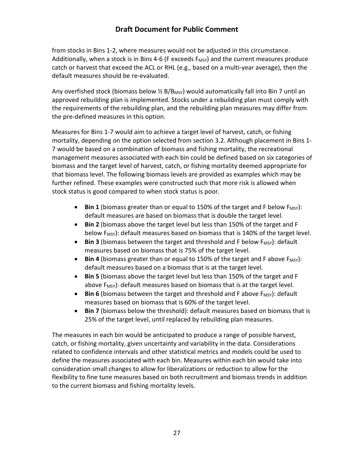from stocks in Bins 1-2, where measures would not be adjusted in this circumstance. Additionally, when a stock is in Bins 4-6 (F exceeds  $F_{MSV}$ ) and the current measures produce catch or harvest that exceed the ACL or RHL (e.g., based on a multi-year average), then the default measures should be re-evaluated.

Any overfished stock (biomass below  $\frac{1}{2}$  B/B<sub>MSY</sub>) would automatically fall into Bin 7 until an approved rebuilding plan is implemented. Stocks under a rebuilding plan must comply with the requirements of the rebuilding plan, and the rebuilding plan measures may differ from the pre-defined measures in this option.

Measures for Bins 1-7 would aim to achieve a target level of harvest, catch, or fishing mortality, depending on the option selected from section 3.2. Although placement in Bins 1- 7 would be based on a combination of biomass and fishing mortality, the recreational management measures associated with each bin could be defined based on six categories of biomass and the target level of harvest, catch, or fishing mortality deemed appropriate for that biomass level. The following biomass levels are provided as examples which may be further refined. These examples were constructed such that more risk is allowed when stock status is good compared to when stock status is poor.

- $\bullet$  **Bin 1** (biomass greater than or equal to 150% of the target and F below  $F_{MSV}$ ): default measures are based on biomass that is double the target level.
- **Bin 2** (biomass above the target level but less than 150% of the target and F below  $F_{MSY}$ : default measures based on biomass that is 140% of the target level.
- Bin 3 (biomass between the target and threshold and F below F<sub>MSY</sub>): default measures based on biomass that is 75% of the target level.
- **Bin 4** (biomass greater than or equal to 150% of the target and F above  $F_{MST}$ ): default measures based on a biomass that is at the target level.
- **Bin 5** (biomass above the target level but less than 150% of the target and F above  $F_{MSV}$ : default measures based on biomass that is at the target level.
- **Bin 6** (biomass between the target and threshold and F above  $F_{MSY}$ ): default measures based on biomass that is 60% of the target level.
- **Bin 7** (biomass below the threshold): default measures based on biomass that is 25% of the target level, until replaced by rebuilding plan measures.

The measures in each bin would be anticipated to produce a range of possible harvest, catch, or fishing mortality, given uncertainty and variability in the data. Considerations related to confidence intervals and other statistical metrics and models could be used to define the measures associated with each bin. Measures within each bin would take into consideration small changes to allow for liberalizations or reduction to allow for the flexibility to fine tune measures based on both recruitment and biomass trends in addition to the current biomass and fishing mortality levels.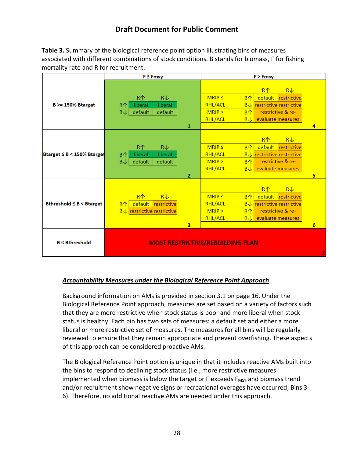**Table 3.** Summary of the biological reference point option illustrating bins of measures associated with different combinations of stock conditions. B stands for biomass, F for fishing mortality rate and R for recruitment.

|                                | $F \leq Fmsy$                                                                                                           | $F$ > Fmsy                                                                                                                                                                                                                                      |  |  |
|--------------------------------|-------------------------------------------------------------------------------------------------------------------------|-------------------------------------------------------------------------------------------------------------------------------------------------------------------------------------------------------------------------------------------------|--|--|
| $B \ge 150\%$ Btarget          | R个<br>$R\downarrow$<br>B个<br>liberal<br>liberal<br>B↓<br>default<br>default<br>1                                        | $R^$<br>$R\downarrow$<br>$MRIP \leq$<br>B <sub>0</sub><br>restrictive<br>default<br><b>RHL/ACL</b><br><b>B</b> ↓ restrictive restrictive<br>restrictive & re-<br>MRIP ><br>B个<br><b>RHL/ACL</b><br>evaluate measures<br>$B\sqrt{2}$<br>4        |  |  |
| Btarget ≤ B < 150% Btarget     | R个<br>$R\downarrow$<br>B <sub>0</sub><br>liberal<br>liberal<br>$B\downarrow$<br>default<br>default<br>$\overline{2}$    | $R^$<br>$R\downarrow$<br>$MRIP \leq$<br>B <sub>0</sub><br>restrictive<br>default<br><b>RHL/ACL</b><br>$B\downarrow$ restrictive restrictive<br>restrictive & re-<br>MRIP ><br>B个<br>evaluate measures<br><b>RHL/ACL</b><br>$B\rightarrow$<br>5. |  |  |
| Bthreshold $\leq B < B$ target | R <sub>1</sub><br>$R\downarrow$<br>default<br>restrictive<br>$B^{\wedge}$<br>$B\downarrow$ restrictive restrictive<br>3 | $R+$<br>$R\downarrow$<br>$MRIP \leq$<br>B个<br>default<br>restrictive<br><b>RHL/ACL</b><br>$B\downarrow$ restrictive restrictive<br>restrictive & re-<br>MRIP ><br>B <sub>0</sub><br><b>RHL/ACL</b><br>evaluate measures<br>$B\rightarrow$<br>6  |  |  |
| <b>B &lt; Bthreshold</b>       |                                                                                                                         | <b>MOST RESTRICTIVE/REBUILDING PLAN</b>                                                                                                                                                                                                         |  |  |

#### *Accountability Measures under the Biological Reference Point Approach*

Background information on AMs is provided in section 3.1 on page 16. Under the Biological Reference Point approach, measures are set based on a variety of factors such that they are more restrictive when stock status is poor and more liberal when stock status is healthy. Each bin has two sets of measures: a default set and either a more liberal or more restrictive set of measures. The measures for all bins will be regularly reviewed to ensure that they remain appropriate and prevent overfishing. These aspects of this approach can be considered proactive AMs.

The Biological Reference Point option is unique in that it includes reactive AMs built into the bins to respond to declining stock status (i.e., more restrictive measures implemented when biomass is below the target or  $F$  exceeds  $F_{MSY}$  and biomass trend and/or recruitment show negative signs or recreational overages have occurred; Bins 3- 6). Therefore, no additional reactive AMs are needed under this approach.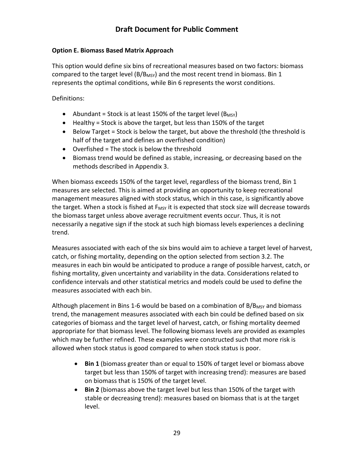#### <span id="page-30-0"></span>**Option E. Biomass Based Matrix Approach**

This option would define six bins of recreational measures based on two factors: biomass compared to the target level (B/B<sub>MSY</sub>) and the most recent trend in biomass. Bin 1 represents the optimal conditions, while Bin 6 represents the worst conditions.

Definitions:

- Abundant = Stock is at least 150% of the target level  $(B_{MSY})$
- Healthy = Stock is above the target, but less than 150% of the target
- Below Target = Stock is below the target, but above the threshold (the threshold is half of the target and defines an overfished condition)
- Overfished = The stock is below the threshold
- Biomass trend would be defined as stable, increasing, or decreasing based on the methods described in Appendix 3.

When biomass exceeds 150% of the target level, regardless of the biomass trend, Bin 1 measures are selected. This is aimed at providing an opportunity to keep recreational management measures aligned with stock status, which in this case, is significantly above the target. When a stock is fished at  $F_{MSY}$  it is expected that stock size will decrease towards the biomass target unless above average recruitment events occur. Thus, it is not necessarily a negative sign if the stock at such high biomass levels experiences a declining trend.

Measures associated with each of the six bins would aim to achieve a target level of harvest, catch, or fishing mortality, depending on the option selected from section 3.2. The measures in each bin would be anticipated to produce a range of possible harvest, catch, or fishing mortality, given uncertainty and variability in the data. Considerations related to confidence intervals and other statistical metrics and models could be used to define the measures associated with each bin.

Although placement in Bins 1-6 would be based on a combination of  $B/B<sub>MSY</sub>$  and biomass trend, the management measures associated with each bin could be defined based on six categories of biomass and the target level of harvest, catch, or fishing mortality deemed appropriate for that biomass level. The following biomass levels are provided as examples which may be further refined. These examples were constructed such that more risk is allowed when stock status is good compared to when stock status is poor.

- **Bin 1** (biomass greater than or equal to 150% of target level or biomass above target but less than 150% of target with increasing trend): measures are based on biomass that is 150% of the target level.
- **Bin 2** (biomass above the target level but less than 150% of the target with stable or decreasing trend): measures based on biomass that is at the target level.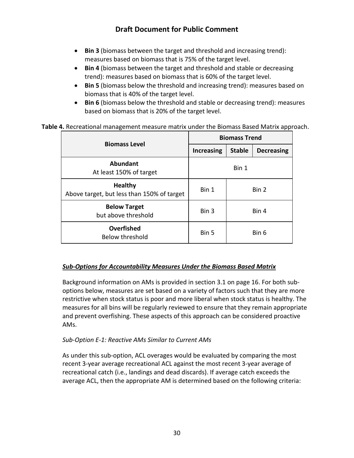- **Bin 3** (biomass between the target and threshold and increasing trend): measures based on biomass that is 75% of the target level.
- **Bin 4** (biomass between the target and threshold and stable or decreasing trend): measures based on biomass that is 60% of the target level.
- **Bin 5** (biomass below the threshold and increasing trend): measures based on biomass that is 40% of the target level.
- **Bin 6** (biomass below the threshold and stable or decreasing trend): measures based on biomass that is 20% of the target level.

#### **Table 4.** Recreational management measure matrix under the Biomass Based Matrix approach.

| <b>Biomass Level</b>                                         | <b>Biomass Trend</b> |               |                   |  |
|--------------------------------------------------------------|----------------------|---------------|-------------------|--|
|                                                              | <b>Increasing</b>    | <b>Stable</b> | <b>Decreasing</b> |  |
| <b>Abundant</b><br>At least 150% of target                   | Bin 1                |               |                   |  |
| <b>Healthy</b><br>Above target, but less than 150% of target | Bin 1                |               | Bin 2             |  |
| <b>Below Target</b><br>but above threshold                   | Bin 3                |               | Bin 4             |  |
| Overfished<br><b>Below threshold</b>                         | Bin 5                |               | Bin 6             |  |

#### *Sub-Options for Accountability Measures Under the Biomass Based Matrix*

Background information on AMs is provided in section 3.1 on page 16. For both suboptions below, measures are set based on a variety of factors such that they are more restrictive when stock status is poor and more liberal when stock status is healthy. The measures for all bins will be regularly reviewed to ensure that they remain appropriate and prevent overfishing. These aspects of this approach can be considered proactive AMs.

#### *Sub-Option E-1: Reactive AMs Similar to Current AMs*

As under this sub-option, ACL overages would be evaluated by comparing the most recent 3-year average recreational ACL against the most recent 3-year average of recreational catch (i.e., landings and dead discards). If average catch exceeds the average ACL, then the appropriate AM is determined based on the following criteria: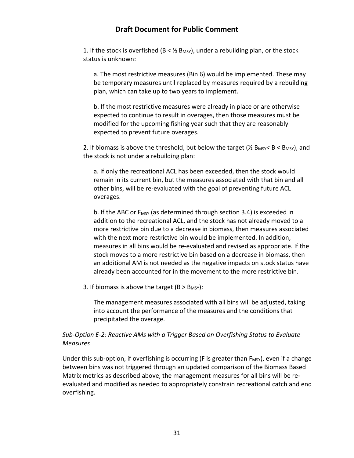1. If the stock is overfished ( $B < \frac{1}{2}$  B<sub>MSY</sub>), under a rebuilding plan, or the stock status is unknown:

a. The most restrictive measures (Bin 6) would be implemented. These may be temporary measures until replaced by measures required by a rebuilding plan, which can take up to two years to implement.

b. If the most restrictive measures were already in place or are otherwise expected to continue to result in overages, then those measures must be modified for the upcoming fishing year such that they are reasonably expected to prevent future overages.

2. If biomass is above the threshold, but below the target ( $\frac{1}{2}$  B<sub>MSY</sub>  $\leq$  B  $\lt$  B<sub>MSY</sub>), and the stock is not under a rebuilding plan:

a. If only the recreational ACL has been exceeded, then the stock would remain in its current bin, but the measures associated with that bin and all other bins, will be re-evaluated with the goal of preventing future ACL overages.

b. If the ABC or  $F_{MSY}$  (as determined through section 3.4) is exceeded in addition to the recreational ACL, and the stock has not already moved to a more restrictive bin due to a decrease in biomass, then measures associated with the next more restrictive bin would be implemented. In addition, measures in all bins would be re-evaluated and revised as appropriate. If the stock moves to a more restrictive bin based on a decrease in biomass, then an additional AM is not needed as the negative impacts on stock status have already been accounted for in the movement to the more restrictive bin.

3. If biomass is above the target ( $B > B_{MSY}$ ):

The management measures associated with all bins will be adjusted, taking into account the performance of the measures and the conditions that precipitated the overage.

#### *Sub-Option E-2: Reactive AMs with a Trigger Based on Overfishing Status to Evaluate Measures*

Under this sub-option, if overfishing is occurring (F is greater than  $F_{MSV}$ ), even if a change between bins was not triggered through an updated comparison of the Biomass Based Matrix metrics as described above, the management measures for all bins will be reevaluated and modified as needed to appropriately constrain recreational catch and end overfishing.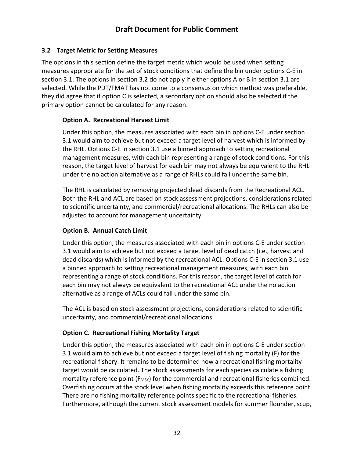### <span id="page-33-0"></span>**3.2 Target Metric for Setting Measures**

The options in this section define the target metric which would be used when setting measures appropriate for the set of stock conditions that define the bin under options C-E in section 3.1. The options in section 3.2 do not apply if either options A or B in section 3.1 are selected. While the PDT/FMAT has not come to a consensus on which method was preferable, they did agree that if option C is selected, a secondary option should also be selected if the primary option cannot be calculated for any reason.

### <span id="page-33-1"></span>**Option A. Recreational Harvest Limit**

Under this option, the measures associated with each bin in options C-E under section 3.1 would aim to achieve but not exceed a target level of harvest which is informed by the RHL. Options C-E in section 3.1 use a binned approach to setting recreational management measures, with each bin representing a range of stock conditions. For this reason, the target level of harvest for each bin may not always be equivalent to the RHL under the no action alternative as a range of RHLs could fall under the same bin.

The RHL is calculated by removing projected dead discards from the Recreational ACL. Both the RHL and ACL are based on stock assessment projections, considerations related to scientific uncertainty, and commercial/recreational allocations. The RHLs can also be adjusted to account for management uncertainty.

#### <span id="page-33-2"></span>**Option B. Annual Catch Limit**

Under this option, the measures associated with each bin in options C-E under section 3.1 would aim to achieve but not exceed a target level of dead catch (i.e., harvest and dead discards) which is informed by the recreational ACL. Options C-E in section 3.1 use a binned approach to setting recreational management measures, with each bin representing a range of stock conditions. For this reason, the target level of catch for each bin may not always be equivalent to the recreational ACL under the no action alternative as a range of ACLs could fall under the same bin.

The ACL is based on stock assessment projections, considerations related to scientific uncertainty, and commercial/recreational allocations.

### <span id="page-33-3"></span>**Option C. Recreational Fishing Mortality Target**

Under this option, the measures associated with each bin in options C-E under section 3.1 would aim to achieve but not exceed a target level of fishing mortality (F) for the recreational fishery. It remains to be determined how a recreational fishing mortality target would be calculated. The stock assessments for each species calculate a fishing mortality reference point  $(F_{MSY})$  for the commercial and recreational fisheries combined. Overfishing occurs at the stock level when fishing mortality exceeds this reference point. There are no fishing mortality reference points specific to the recreational fisheries. Furthermore, although the current stock assessment models for summer flounder, scup,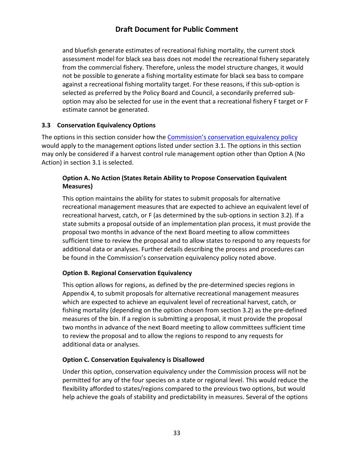and bluefish generate estimates of recreational fishing mortality, the current stock assessment model for black sea bass does not model the recreational fishery separately from the commercial fishery. Therefore, unless the model structure changes, it would not be possible to generate a fishing mortality estimate for black sea bass to compare against a recreational fishing mortality target. For these reasons, if this sub-option is selected as preferred by the Policy Board and Council, a secondarily preferred suboption may also be selected for use in the event that a recreational fishery F target or F estimate cannot be generated.

#### <span id="page-34-0"></span>**3.3 Conservation Equivalency Options**

The options in this section consider how th[e Commission's conservation equivalency policy](http://www.asmfc.org/files/pub/ConservationEquivalencyGuidance_2016.pdf) would apply to the management options listed under section 3.1. The options in this section may only be considered if a harvest control rule management option other than Option A (No Action) in section 3.1 is selected.

### <span id="page-34-1"></span>**Option A. No Action (States Retain Ability to Propose Conservation Equivalent Measures)**

This option maintains the ability for states to submit proposals for alternative recreational management measures that are expected to achieve an equivalent level of recreational harvest, catch, or F (as determined by the sub-options in section 3.2). If a state submits a proposal outside of an implementation plan process, it must provide the proposal two months in advance of the next Board meeting to allow committees sufficient time to review the proposal and to allow states to respond to any requests for additional data or analyses. Further details describing the process and procedures can be found in the Commission's conservation equivalency policy noted above.

#### <span id="page-34-2"></span>**Option B. Regional Conservation Equivalency**

This option allows for regions, as defined by the pre-determined species regions in Appendix 4, to submit proposals for alternative recreational management measures which are expected to achieve an equivalent level of recreational harvest, catch, or fishing mortality (depending on the option chosen from section 3.2) as the pre-defined measures of the bin. If a region is submitting a proposal, it must provide the proposal two months in advance of the next Board meeting to allow committees sufficient time to review the proposal and to allow the regions to respond to any requests for additional data or analyses.

#### <span id="page-34-3"></span>**Option C. Conservation Equivalency is Disallowed**

Under this option, conservation equivalency under the Commission process will not be permitted for any of the four species on a state or regional level. This would reduce the flexibility afforded to states/regions compared to the previous two options, but would help achieve the goals of stability and predictability in measures. Several of the options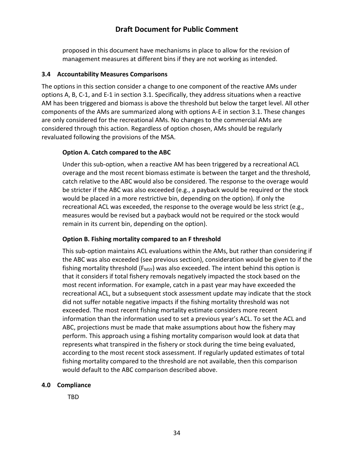proposed in this document have mechanisms in place to allow for the revision of management measures at different bins if they are not working as intended.

#### <span id="page-35-0"></span>**3.4 Accountability Measures Comparisons**

The options in this section consider a change to one component of the reactive AMs under options A, B, C-1, and E-1 in section 3.1. Specifically, they address situations when a reactive AM has been triggered and biomass is above the threshold but below the target level. All other components of the AMs are summarized along with options A-E in section 3.1. These changes are only considered for the recreational AMs. No changes to the commercial AMs are considered through this action. Regardless of option chosen, AMs should be regularly revaluated following the provisions of the MSA.

#### <span id="page-35-1"></span>**Option A. Catch compared to the ABC**

Under this sub-option, when a reactive AM has been triggered by a recreational ACL overage and the most recent biomass estimate is between the target and the threshold, catch relative to the ABC would also be considered. The response to the overage would be stricter if the ABC was also exceeded (e.g., a payback would be required or the stock would be placed in a more restrictive bin, depending on the option). If only the recreational ACL was exceeded, the response to the overage would be less strict (e.g., measures would be revised but a payback would not be required or the stock would remain in its current bin, depending on the option).

#### <span id="page-35-2"></span>**Option B. Fishing mortality compared to an F threshold**

This sub-option maintains ACL evaluations within the AMs, but rather than considering if the ABC was also exceeded (see previous section), consideration would be given to if the fishing mortality threshold ( $F_{MSV}$ ) was also exceeded. The intent behind this option is that it considers if total fishery removals negatively impacted the stock based on the most recent information. For example, catch in a past year may have exceeded the recreational ACL, but a subsequent stock assessment update may indicate that the stock did not suffer notable negative impacts if the fishing mortality threshold was not exceeded. The most recent fishing mortality estimate considers more recent information than the information used to set a previous year's ACL. To set the ACL and ABC, projections must be made that make assumptions about how the fishery may perform. This approach using a fishing mortality comparison would look at data that represents what transpired in the fishery or stock during the time being evaluated, according to the most recent stock assessment. If regularly updated estimates of total fishing mortality compared to the threshold are not available, then this comparison would default to the ABC comparison described above.

#### <span id="page-35-3"></span>**4.0 Compliance**

TBD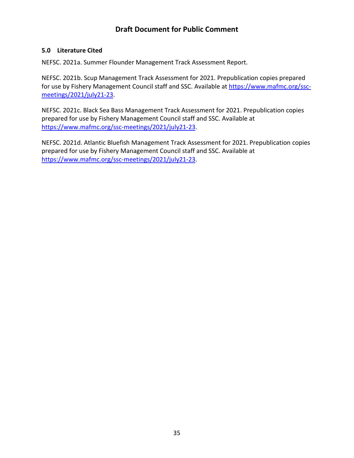#### <span id="page-36-0"></span>**5.0 Literature Cited**

NEFSC. 2021a. Summer Flounder Management Track Assessment Report.

NEFSC. 2021b. Scup Management Track Assessment for 2021. Prepublication copies prepared for use by Fishery Management Council staff and SSC. Available at [https://www.mafmc.org/ssc](https://www.mafmc.org/ssc-meetings/2021/july21-23)[meetings/2021/july21-23.](https://www.mafmc.org/ssc-meetings/2021/july21-23)

NEFSC. 2021c. Black Sea Bass Management Track Assessment for 2021. Prepublication copies prepared for use by Fishery Management Council staff and SSC. Available at [https://www.mafmc.org/ssc-meetings/2021/july21-23.](https://www.mafmc.org/ssc-meetings/2021/july21-23)

NEFSC. 2021d. Atlantic Bluefish Management Track Assessment for 2021. Prepublication copies prepared for use by Fishery Management Council staff and SSC. Available at [https://www.mafmc.org/ssc-meetings/2021/july21-23.](https://www.mafmc.org/ssc-meetings/2021/july21-23)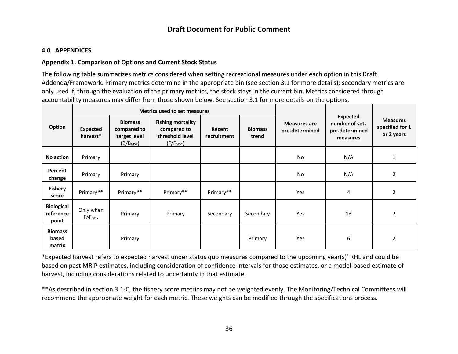#### **4.0 APPENDICES**

#### **Appendix 1. Comparison of Options and Current Stock Status**

The following table summarizes metrics considered when setting recreational measures under each option in this Draft Addenda/Framework. Primary metrics determine in the appropriate bin (see section 3.1 for more details); secondary metrics are only used if, through the evaluation of the primary metrics, the stock stays in the current bin. Metrics considered through accountability measures may differ from those shown below. See section 3.1 for more details on the options.

<span id="page-37-1"></span><span id="page-37-0"></span>

|                                         |                                     |                                                                        | Metrics used to set measures                                                        |                       |                         |                                       |                                                                 |                                                  |
|-----------------------------------------|-------------------------------------|------------------------------------------------------------------------|-------------------------------------------------------------------------------------|-----------------------|-------------------------|---------------------------------------|-----------------------------------------------------------------|--------------------------------------------------|
| Option                                  | <b>Expected</b><br>harvest*         | <b>Biomass</b><br>compared to<br>target level<br>(B/B <sub>MSY</sub> ) | <b>Fishing mortality</b><br>compared to<br>threshold level<br>(F/F <sub>MSY</sub> ) | Recent<br>recruitment | <b>Biomass</b><br>trend | <b>Measures are</b><br>pre-determined | <b>Expected</b><br>number of sets<br>pre-determined<br>measures | <b>Measures</b><br>specified for 1<br>or 2 years |
| No action                               | Primary                             |                                                                        |                                                                                     |                       |                         | No                                    | N/A                                                             | 1                                                |
| Percent<br>change                       | Primary                             | Primary                                                                |                                                                                     |                       |                         | No                                    | N/A                                                             | $\overline{2}$                                   |
| <b>Fishery</b><br>score                 | Primary**                           | Primary**                                                              | Primary**                                                                           | Primary**             |                         | Yes                                   | 4                                                               | $\overline{2}$                                   |
| <b>Biological</b><br>reference<br>point | Only when<br>$F > F$ <sub>MSY</sub> | Primary                                                                | Primary                                                                             | Secondary             | Secondary               | Yes                                   | 13                                                              | 2                                                |
| <b>Biomass</b><br>based<br>matrix       |                                     | Primary                                                                |                                                                                     |                       | Primary                 | Yes                                   | 6                                                               | 2                                                |

\*Expected harvest refers to expected harvest under status quo measures compared to the upcoming year(s)' RHL and could be based on past MRIP estimates, including consideration of confidence intervals for those estimates, or a model-based estimate of harvest, including considerations related to uncertainty in that estimate.

\*\*As described in section 3.1-C, the fishery score metrics may not be weighted evenly. The Monitoring/Technical Committees will recommend the appropriate weight for each metric. These weights can be modified through the specifications process.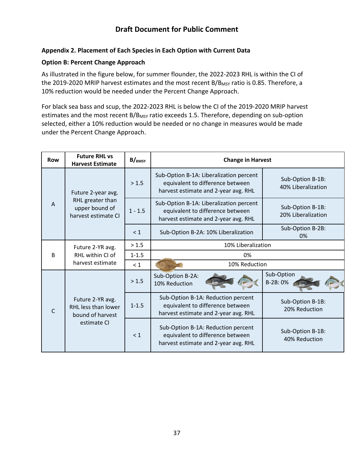#### <span id="page-38-0"></span>**Appendix 2. Placement of Each Species in Each Option with Current Data**

#### **Option B: Percent Change Approach**

As illustrated in the figure below, for summer flounder, the 2022-2023 RHL is within the CI of the 2019-2020 MRIP harvest estimates and the most recent B/B<sub>MSY</sub> ratio is 0.85. Therefore, a 10% reduction would be needed under the Percent Change Approach.

For black sea bass and scup, the 2022-2023 RHL is below the CI of the 2019-2020 MRIP harvest estimates and the most recent B/B<sub>MSY</sub> ratio exceeds 1.5. Therefore, depending on sub-option selected, either a 10% reduction would be needed or no change in measures would be made under the Percent Change Approach.

| <b>Row</b>     | <b>Future RHL vs</b><br><b>Harvest Estimate</b>                            | $B/_{BMSY}$ | <b>Change in Harvest</b>                                                                                            |                                        |  |
|----------------|----------------------------------------------------------------------------|-------------|---------------------------------------------------------------------------------------------------------------------|----------------------------------------|--|
|                | Future 2-year avg.                                                         | > 1.5       | Sub-Option B-1A: Liberalization percent<br>equivalent to difference between<br>harvest estimate and 2-year avg. RHL | Sub-Option B-1B:<br>40% Liberalization |  |
| $\overline{A}$ | RHL greater than<br>upper bound of<br>harvest estimate CI                  | $1 - 1.5$   | Sub-Option B-1A: Liberalization percent<br>equivalent to difference between<br>harvest estimate and 2-year avg. RHL | Sub-Option B-1B:<br>20% Liberalization |  |
|                |                                                                            | $\leq 1$    | Sub-Option B-2A: 10% Liberalization                                                                                 | Sub-Option B-2B:<br>0%                 |  |
|                | Future 2-YR avg.                                                           | > 1.5       | 10% Liberalization                                                                                                  |                                        |  |
| B              | RHL within CI of<br>harvest estimate                                       | $1 - 1.5$   | 0%                                                                                                                  |                                        |  |
|                |                                                                            | $\leq 1$    | 10% Reduction                                                                                                       |                                        |  |
|                |                                                                            | > 1.5       | Sub-Option B-2A:<br>10% Reduction                                                                                   | Sub-Option<br>B-2B: 0%                 |  |
| C              | Future 2-YR avg.<br>RHL less than lower<br>bound of harvest<br>estimate CI | $1 - 1.5$   | Sub-Option B-1A: Reduction percent<br>equivalent to difference between<br>harvest estimate and 2-year avg. RHL      | Sub-Option B-1B:<br>20% Reduction      |  |
|                |                                                                            | < 1         | Sub-Option B-1A: Reduction percent<br>equivalent to difference between<br>harvest estimate and 2-year avg. RHL      | Sub-Option B-1B:<br>40% Reduction      |  |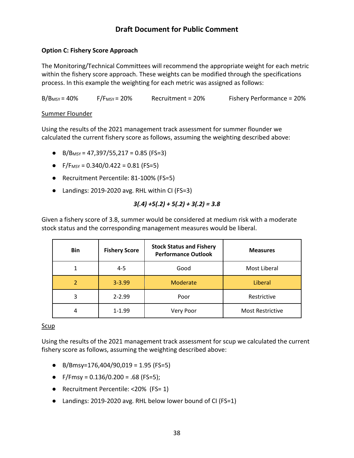#### **Option C: Fishery Score Approach**

The Monitoring/Technical Committees will recommend the appropriate weight for each metric within the fishery score approach. These weights can be modified through the specifications process. In this example the weighting for each metric was assigned as follows:

 $B/B<sub>MSY</sub> = 40%$  F/F<sub>MSY</sub> = 20% Recruitment = 20% Fishery Performance = 20%

#### Summer Flounder

Using the results of the 2021 management track assessment for summer flounder we calculated the current fishery score as follows, assuming the weighting described above:

- B/B<sub>MSY</sub> = 47,397/55,217 = 0.85 (FS=3)
- F/F<sub>MSY</sub> = 0.340/0.422 = 0.81 (FS=5)
- Recruitment Percentile: 81-100% (FS=5)
- Landings: 2019-2020 avg. RHL within CI (FS=3)

$$
3(.4) + 5(.2) + 5(.2) + 3(.2) = 3.8
$$

Given a fishery score of 3.8, summer would be considered at medium risk with a moderate stock status and the corresponding management measures would be liberal.

| <b>Bin</b>     | <b>Fishery Score</b> | <b>Stock Status and Fishery</b><br><b>Performance Outlook</b> | <b>Measures</b>         |
|----------------|----------------------|---------------------------------------------------------------|-------------------------|
|                | $4 - 5$              | Good                                                          | Most Liberal            |
| $\overline{2}$ | $3 - 3.99$           | Moderate                                                      | Liberal                 |
| 3              | $2 - 2.99$           | Poor                                                          | Restrictive             |
| 4              | $1 - 1.99$           | Very Poor                                                     | <b>Most Restrictive</b> |

#### Scup

Using the results of the 2021 management track assessment for scup we calculated the current fishery score as follows, assuming the weighting described above:

- B/Bmsy=176,404/90,019 = 1.95 (FS=5)
- F/Fmsy =  $0.136/0.200 = .68$  (FS=5);
- Recruitment Percentile: <20% (FS= 1)
- Landings: 2019-2020 avg. RHL below lower bound of CI (FS=1)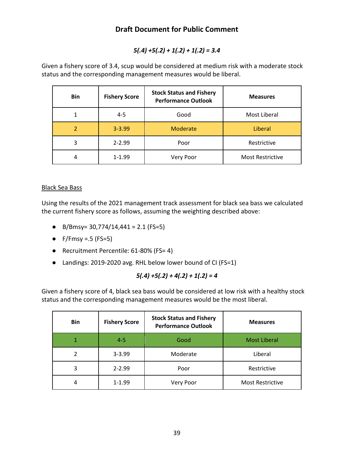### *5(.4) +5(.2) + 1(.2) + 1(.2) = 3.4*

Given a fishery score of 3.4, scup would be considered at medium risk with a moderate stock status and the corresponding management measures would be liberal.

| <b>Bin</b>     | <b>Fishery Score</b> | <b>Stock Status and Fishery</b><br><b>Performance Outlook</b> | <b>Measures</b>         |
|----------------|----------------------|---------------------------------------------------------------|-------------------------|
|                | $4 - 5$              | Good                                                          | Most Liberal            |
| $\mathfrak{p}$ | $3 - 3.99$           | Moderate                                                      | Liberal                 |
| 3              | $2 - 2.99$           | Poor                                                          | Restrictive             |
| 4              | $1 - 1.99$           | Very Poor                                                     | <b>Most Restrictive</b> |

#### Black Sea Bass

Using the results of the 2021 management track assessment for black sea bass we calculated the current fishery score as follows, assuming the weighting described above:

- B/Bmsy=  $30,774/14,441 = 2.1$  (FS=5)
- $\bullet$  F/Fmsy =.5 (FS=5)
- Recruitment Percentile: 61-80% (FS= 4)
- Landings: 2019-2020 avg. RHL below lower bound of CI (FS=1)

### *5(.4) +5(.2) + 4(.2) + 1(.2) = 4*

Given a fishery score of 4, black sea bass would be considered at low risk with a healthy stock status and the corresponding management measures would be the most liberal.

| <b>Bin</b> | <b>Fishery Score</b> | <b>Stock Status and Fishery</b><br><b>Performance Outlook</b> | <b>Measures</b>         |
|------------|----------------------|---------------------------------------------------------------|-------------------------|
|            | $4 - 5$              | Good                                                          | <b>Most Liberal</b>     |
| 2          | $3 - 3.99$           | Moderate                                                      | Liberal                 |
| 3          | $2 - 2.99$           | Poor                                                          | Restrictive             |
| 4          | $1 - 1.99$           | Very Poor                                                     | <b>Most Restrictive</b> |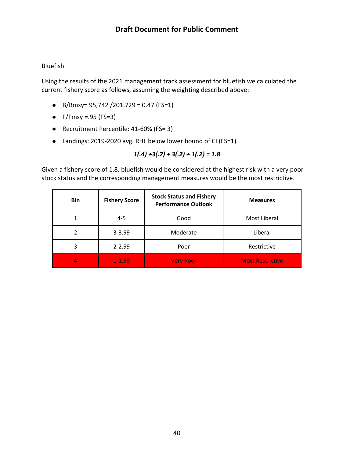#### **Bluefish**

Using the results of the 2021 management track assessment for bluefish we calculated the current fishery score as follows, assuming the weighting described above:

- B/Bmsy= 95,742 /201,729 = 0.47 (FS=1)
- $\bullet$  F/Fmsy =.95 (FS=3)
- Recruitment Percentile: 41-60% (FS= 3)
- Landings: 2019-2020 avg. RHL below lower bound of CI (FS=1)

### *1(.4) +3(.2) + 3(.2) + 1(.2) = 1.8*

Given a fishery score of 1.8, bluefish would be considered at the highest risk with a very poor stock status and the corresponding management measures would be the most restrictive.

| <b>Bin</b> | <b>Fishery Score</b> | <b>Stock Status and Fishery</b><br><b>Performance Outlook</b> | <b>Measures</b>         |  |
|------------|----------------------|---------------------------------------------------------------|-------------------------|--|
|            | $4 - 5$              | Good                                                          | Most Liberal            |  |
|            | $3 - 3.99$           | Moderate                                                      | Liberal                 |  |
| 3          | $2 - 2.99$           | Poor                                                          | Restrictive             |  |
| 4          | $1 - 1.99$           | <b>Very Poor</b>                                              | <b>Most Restrictive</b> |  |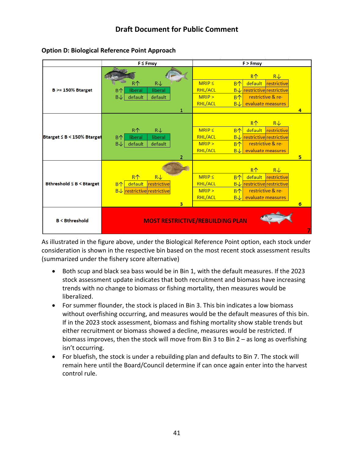

**Option D: Biological Reference Point Approach**

As illustrated in the figure above, under the Biological Reference Point option, each stock under consideration is shown in the respective bin based on the most recent stock assessment results (summarized under the fishery score alternative)

- Both scup and black sea bass would be in Bin 1, with the default measures. If the 2023 stock assessment update indicates that both recruitment and biomass have increasing trends with no change to biomass or fishing mortality, then measures would be liberalized.
- For summer flounder, the stock is placed in Bin 3. This bin indicates a low biomass without overfishing occurring, and measures would be the default measures of this bin. If in the 2023 stock assessment, biomass and fishing mortality show stable trends but either recruitment or biomass showed a decline, measures would be restricted. If biomass improves, then the stock will move from Bin 3 to Bin 2 – as long as overfishing isn't occurring.
- For bluefish, the stock is under a rebuilding plan and defaults to Bin 7. The stock will remain here until the Board/Council determine if can once again enter into the harvest control rule.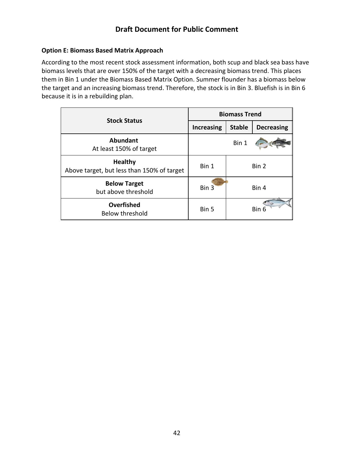#### **Option E: Biomass Based Matrix Approach**

According to the most recent stock assessment information, both scup and black sea bass have biomass levels that are over 150% of the target with a decreasing biomass trend. This places them in Bin 1 under the Biomass Based Matrix Option. Summer flounder has a biomass below the target and an increasing biomass trend. Therefore, the stock is in Bin 3. Bluefish is in Bin 6 because it is in a rebuilding plan.

| <b>Stock Status</b>                                          | <b>Biomass Trend</b> |               |                   |
|--------------------------------------------------------------|----------------------|---------------|-------------------|
|                                                              | <b>Increasing</b>    | <b>Stable</b> | <b>Decreasing</b> |
| Abundant<br>At least 150% of target                          |                      | Bin 1         |                   |
| <b>Healthy</b><br>Above target, but less than 150% of target | Bin 1                |               | Bin 2             |
| <b>Below Target</b><br>but above threshold                   | Bin 3                | Bin 4         |                   |
| Overfished<br><b>Below threshold</b>                         | Bin 5                |               | Bin 6             |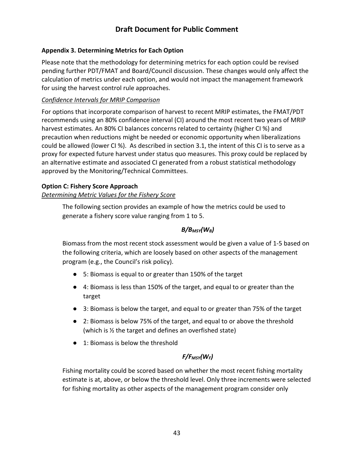#### <span id="page-44-0"></span>**Appendix 3. Determining Metrics for Each Option**

Please note that the methodology for determining metrics for each option could be revised pending further PDT/FMAT and Board/Council discussion. These changes would only affect the calculation of metrics under each option, and would not impact the management framework for using the harvest control rule approaches.

#### *Confidence Intervals for MRIP Comparison*

For options that incorporate comparison of harvest to recent MRIP estimates, the FMAT/PDT recommends using an 80% confidence interval (CI) around the most recent two years of MRIP harvest estimates. An 80% CI balances concerns related to certainty (higher CI %) and precaution when reductions might be needed or economic opportunity when liberalizations could be allowed (lower CI %). As described in section 3.1, the intent of this CI is to serve as a proxy for expected future harvest under status quo measures. This proxy could be replaced by an alternative estimate and associated CI generated from a robust statistical methodology approved by the Monitoring/Technical Committees.

#### **Option C: Fishery Score Approach**

### *Determining Metric Values for the Fishery Score*

The following section provides an example of how the metrics could be used to generate a fishery score value ranging from 1 to 5.

#### *B/BMSY(WB)*

Biomass from the most recent stock assessment would be given a value of 1-5 based on the following criteria, which are loosely based on other aspects of the management program (e.g., the Council's risk policy).

- 5: Biomass is equal to or greater than 150% of the target
- 4: Biomass is less than 150% of the target, and equal to or greater than the target
- 3: Biomass is below the target, and equal to or greater than 75% of the target
- 2: Biomass is below 75% of the target, and equal to or above the threshold (which is ½ the target and defines an overfished state)
- 1: Biomass is below the threshold

### *F/FMSY(WF)*

Fishing mortality could be scored based on whether the most recent fishing mortality estimate is at, above, or below the threshold level. Only three increments were selected for fishing mortality as other aspects of the management program consider only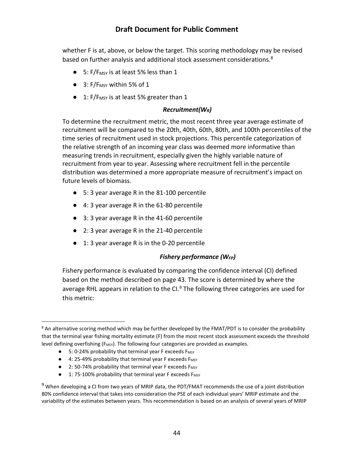whether F is at, above, or below the target. This scoring methodology may be revised based on further analysis and additional stock assessment considerations.<sup>8</sup>

- $\bullet$  5: F/F<sub>MSY</sub> is at least 5% less than 1
- $\bullet$  3: F/F<sub>MSY</sub> within 5% of 1
- $\bullet$  1: F/F<sub>MSY</sub> is at least 5% greater than 1

#### *Recruitment(WR)*

To determine the recruitment metric, the most recent three year average estimate of recruitment will be compared to the 20th, 40th, 60th, 80th, and 100th percentiles of the time series of recruitment used in stock projections. This percentile categorization of the relative strength of an incoming year class was deemed more informative than measuring trends in recruitment, especially given the highly variable nature of recruitment from year to year. Assessing where recruitment fell in the percentile distribution was determined a more appropriate measure of recruitment's impact on future levels of biomass.

- 5: 3 year average R in the 81-100 percentile
- 4: 3 year average R in the 61-80 percentile
- 3: 3 year average R in the 41-60 percentile
- 2: 3 year average R in the 21-40 percentile
- 1: 3 year average R is in the 0-20 percentile

#### *Fishery performance (WFP)*

Fishery performance is evaluated by comparing the confidence interval (CI) defined based on the method described on page [43.](#page-44-0) The score is determined by where the average RHL appears in relation to the CI. $9$  The following three categories are used for this metric:

- 4: 25-49% probability that terminal year F exceeds F<sub>MSY</sub>
- 2: 50-74% probability that terminal year F exceeds F<sub>MSY</sub>
- 1: 75-100% probability that terminal year F exceeds F<sub>MSY</sub>

<span id="page-45-0"></span><sup>&</sup>lt;sup>8</sup> An alternative scoring method which may be further developed by the FMAT/PDT is to consider the probability that the terminal year fishing mortality estimate (F) from the most recent stock assessment exceeds the threshold level defining overfishing ( $F_{MSY}$ ). The following four categories are provided as examples.

<sup>● 5: 0-24%</sup> probability that terminal year F exceeds F<sub>MSY</sub>

<span id="page-45-1"></span> $9$  When developing a CI from two years of MRIP data, the PDT/FMAT recommends the use of a joint distribution 80% confidence interval that takes into consideration the PSE of each individual years' MRIP estimate and the variability of the estimates between years. This recommendation is based on an analysis of several years of MRIP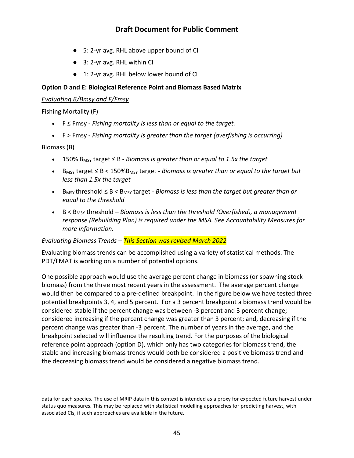- 5: 2-yr avg. RHL above upper bound of CI
- 3: 2-yr avg. RHL within CI
- 1: 2-yr avg. RHL below lower bound of CI

#### **Option D and E: Biological Reference Point and Biomass Based Matrix**

#### *Evaluating B/Bmsy and F/Fmsy*

Fishing Mortality (F)

- F ≤ Fmsy *Fishing mortality is less than or equal to the target.*
- F > Fmsy *Fishing mortality is greater than the target (overfishing is occurring)*

Biomass (B)

 $\overline{a}$ 

- 150% BMSY target ≤ B *Biomass is greater than or equal to 1.5x the target*
- BMSY target ≤ B < 150%BMSY target *Biomass is greater than or equal to the target but less than 1.5x the target*
- BMSY threshold ≤ B < BMSY target *Biomass is less than the target but greater than or equal to the threshold*
- B < B<sub>MSY</sub> threshold *Biomass is less than the threshold (Overfished), a management response (Rebuilding Plan) is required under the MSA. See Accountability Measures for more information.*

#### *Evaluating Biomass Trends – This Section was revised March 2022*

Evaluating biomass trends can be accomplished using a variety of statistical methods. The PDT/FMAT is working on a number of potential options.

One possible approach would use the average percent change in biomass (or spawning stock biomass) from the three most recent years in the assessment. The average percent change would then be compared to a pre-defined breakpoint. In the figure below we have tested three potential breakpoints 3, 4, and 5 percent. For a 3 percent breakpoint a biomass trend would be considered stable if the percent change was between -3 percent and 3 percent change; considered increasing if the percent change was greater than 3 percent; and, decreasing if the percent change was greater than -3 percent. The number of years in the average, and the breakpoint selected will influence the resulting trend. For the purposes of the biological reference point approach (option D), which only has two categories for biomass trend, the stable and increasing biomass trends would both be considered a positive biomass trend and the decreasing biomass trend would be considered a negative biomass trend.

data for each species. The use of MRIP data in this context is intended as a proxy for expected future harvest under status quo measures. This may be replaced with statistical modelling approaches for predicting harvest, with associated CIs, if such approaches are available in the future.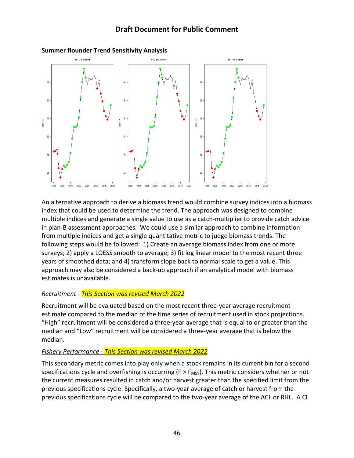

#### **Summer flounder Trend Sensitivity Analysis**

An alternative approach to derive a biomass trend would combine survey indices into a biomass index that could be used to determine the trend. The approach was designed to combine multiple indices and generate a single value to use as a catch-multiplier to provide catch advice in plan-B assessment approaches. We could use a similar approach to combine information from multiple indices and get a single quantitative metric to judge biomass trends. The following steps would be followed: 1) Create an average biomass index from one or more surveys; 2) apply a LOESS smooth to average; 3) fit log linear model to the most recent three years of smoothed data; and 4) transform slope back to normal scale to get a value. This approach may also be considered a back-up approach if an analytical model with biomass estimates is unavailable.

#### *Recruitment - This Section was revised March 2022*

Recruitment will be evaluated based on the most recent three-year average recruitment estimate compared to the median of the time series of recruitment used in stock projections. "High" recruitment will be considered a three-year average that is equal to or greater than the median and "Low" recruitment will be considered a three-year average that is below the median.

#### *Fishery Performance - This Section was revised March 2022*

This secondary metric comes into play only when a stock remains in its current bin for a second specifications cycle and overfishing is occurring ( $F > F_{MSY}$ ). This metric considers whether or not the current measures resulted in catch and/or harvest greater than the specified limit from the previous specifications cycle. Specifically, a two-year average of catch or harvest from the previous specifications cycle will be compared to the two-year average of the ACL or RHL. A CI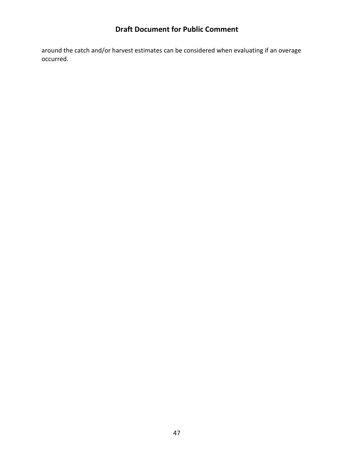around the catch and/or harvest estimates can be considered when evaluating if an overage occurred.